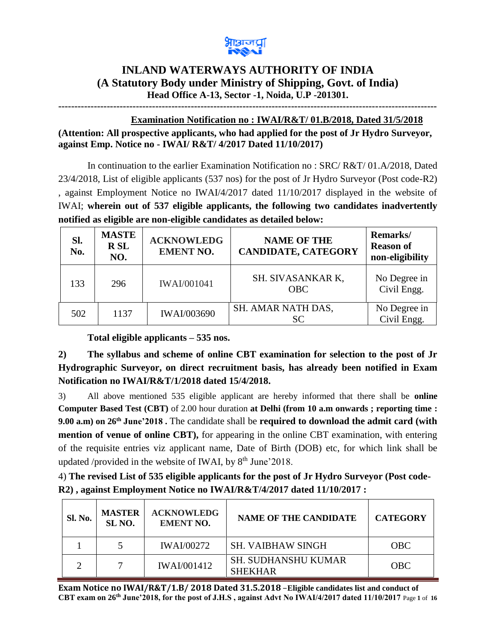

## **INLAND WATERWAYS AUTHORITY OF INDIA (A Statutory Body under Ministry of Shipping, Govt. of India) Head Office A-13, Sector -1, Noida, U.P -201301.**

**---------------------------------------------------------------------------------------------------------------------**

## **Examination Notification no : IWAI/R&T/ 01.B/2018, Dated 31/5/2018**

**(Attention: All prospective applicants, who had applied for the post of Jr Hydro Surveyor, against Emp. Notice no - IWAI/ R&T/ 4/2017 Dated 11/10/2017)** 

In continuation to the earlier Examination Notification no : SRC/ R&T/ 01.A/2018, Dated 23/4/2018, List of eligible applicants (537 nos) for the post of Jr Hydro Surveyor (Post code-R2) , against Employment Notice no IWAI/4/2017 dated 11/10/2017 displayed in the website of IWAI; **wherein out of 537 eligible applicants, the following two candidates inadvertently notified as eligible are non-eligible candidates as detailed below:**

| Sl.<br>No. | <b>MASTE</b><br><b>RSL</b><br>NO. | <b>ACKNOWLEDG</b><br><b>EMENT NO.</b> | <b>NAME OF THE</b><br><b>CANDIDATE, CATEGORY</b> | Remarks/<br><b>Reason of</b><br>non-eligibility |
|------------|-----------------------------------|---------------------------------------|--------------------------------------------------|-------------------------------------------------|
| 133        | 296                               | <b>IWAI/001041</b>                    | SH. SIVASANKAR K,<br><b>OBC</b>                  | No Degree in<br>Civil Engg.                     |
| 502        | 1137                              | <b>IWAI/003690</b>                    | SH. AMAR NATH DAS,<br>SC.                        | No Degree in<br>Civil Engg.                     |

**Total eligible applicants – 535 nos.**

**2) The syllabus and scheme of online CBT examination for selection to the post of Jr Hydrographic Surveyor, on direct recruitment basis, has already been notified in Exam Notification no IWAI/R&T/1/2018 dated 15/4/2018.**

3) All above mentioned 535 eligible applicant are hereby informed that there shall be **online Computer Based Test (CBT)** of 2.00 hour duration **at Delhi (from 10 a.m onwards ; reporting time : 9.00 a.m) on 26th June'2018 .** The candidate shall be **required to download the admit card (with mention of venue of online CBT),** for appearing in the online CBT examination, with entering of the requisite entries viz applicant name, Date of Birth (DOB) etc, for which link shall be updated /provided in the website of IWAI, by  $8<sup>th</sup>$  June'2018.

| 4) The revised List of 535 eligible applicants for the post of Jr Hydro Surveyor (Post code- |  |
|----------------------------------------------------------------------------------------------|--|
| R2), against Employment Notice no IWAI/R&T/4/2017 dated 11/10/2017 :                         |  |

| Sl. No. | <b>MASTER</b><br>SL <sub>NO</sub> . | <b>ACKNOWLEDG</b><br><b>EMENT NO.</b> | <b>NAME OF THE CANDIDATE</b>                 | <b>CATEGORY</b> |
|---------|-------------------------------------|---------------------------------------|----------------------------------------------|-----------------|
|         |                                     | <b>IWAI/00272</b>                     | <b>SH. VAIBHAW SINGH</b>                     | <b>OBC</b>      |
|         |                                     | <b>IWAI/001412</b>                    | <b>SH. SUDHANSHU KUMAR</b><br><b>SHEKHAR</b> | <b>OBC</b>      |

**Exam Notice no IWAI/R&T/1.B/ 2018 Dated 31.5.2018** –**Eligible candidates list and conduct of CBT exam on 26th June'2018, for the post of J.H.S , against Advt No IWAI/4/2017 dated 11/10/2017** Page **1** of **16**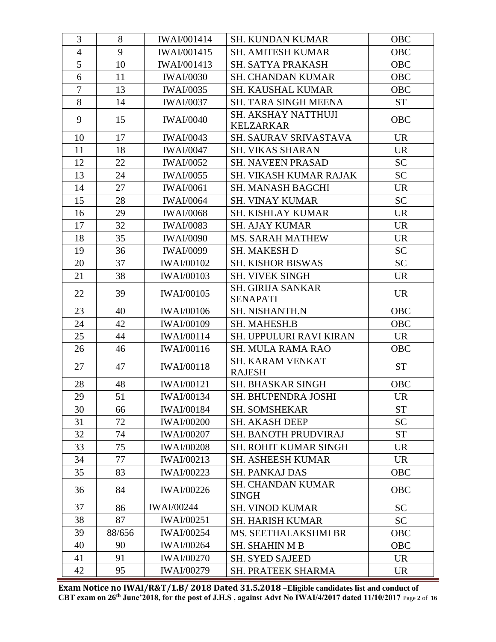| 3              | 8      | <b>IWAI/001414</b> | <b>SH. KUNDAN KUMAR</b>                        | <b>OBC</b> |
|----------------|--------|--------------------|------------------------------------------------|------------|
| $\overline{4}$ | 9      | <b>IWAI/001415</b> | <b>SH. AMITESH KUMAR</b>                       | <b>OBC</b> |
| 5              | 10     | <b>IWAI/001413</b> | SH. SATYA PRAKASH                              | <b>OBC</b> |
| 6              | 11     | <b>IWAI/0030</b>   | <b>SH. CHANDAN KUMAR</b>                       | <b>OBC</b> |
| $\overline{7}$ | 13     | <b>IWAI/0035</b>   | <b>SH. KAUSHAL KUMAR</b>                       | <b>OBC</b> |
| 8              | 14     | <b>IWAI/0037</b>   | SH. TARA SINGH MEENA                           | <b>ST</b>  |
| 9              | 15     | <b>IWAI/0040</b>   | <b>SH. AKSHAY NATTHUJI</b><br><b>KELZARKAR</b> | OBC        |
| 10             | 17     | <b>IWAI/0043</b>   | SH. SAURAV SRIVASTAVA                          | <b>UR</b>  |
| 11             | 18     | <b>IWAI/0047</b>   | <b>SH. VIKAS SHARAN</b>                        | <b>UR</b>  |
| 12             | 22     | <b>IWAI/0052</b>   | <b>SH. NAVEEN PRASAD</b>                       | <b>SC</b>  |
| 13             | 24     | <b>IWAI/0055</b>   | SH. VIKASH KUMAR RAJAK                         | <b>SC</b>  |
| 14             | 27     | <b>IWAI/0061</b>   | <b>SH. MANASH BAGCHI</b>                       | <b>UR</b>  |
| 15             | 28     | <b>IWAI/0064</b>   | <b>SH. VINAY KUMAR</b>                         | <b>SC</b>  |
| 16             | 29     | <b>IWAI/0068</b>   | SH. KISHLAY KUMAR                              | <b>UR</b>  |
| 17             | 32     | <b>IWAI/0083</b>   | <b>SH. AJAY KUMAR</b>                          | <b>UR</b>  |
| 18             | 35     | <b>IWAI/0090</b>   | <b>MS. SARAH MATHEW</b>                        | <b>UR</b>  |
| 19             | 36     | <b>IWAI/0099</b>   | <b>SH. MAKESH D</b>                            | <b>SC</b>  |
| 20             | 37     | <b>IWAI/00102</b>  | <b>SH. KISHOR BISWAS</b>                       | <b>SC</b>  |
| 21             | 38     | <b>IWAI/00103</b>  | <b>SH. VIVEK SINGH</b>                         | <b>UR</b>  |
| 22             | 39     | <b>IWAI/00105</b>  | <b>SH. GIRIJA SANKAR</b><br><b>SENAPATI</b>    | <b>UR</b>  |
| 23             | 40     | <b>IWAI/00106</b>  | <b>SH. NISHANTH.N</b>                          | OBC        |
| 24             | 42     | <b>IWAI/00109</b>  | <b>SH. MAHESH.B</b>                            | <b>OBC</b> |
| 25             | 44     | <b>IWAI/00114</b>  | SH. UPPULURI RAVI KIRAN                        | <b>UR</b>  |
| 26             | 46     | <b>IWAI/00116</b>  | <b>SH. MULA RAMA RAO</b>                       | <b>OBC</b> |
| 27             | 47     | <b>IWAI/00118</b>  | <b>SH. KARAM VENKAT</b><br><b>RAJESH</b>       | <b>ST</b>  |
| 28             | 48     | <b>IWAI/00121</b>  | <b>SH. BHASKAR SINGH</b>                       | <b>OBC</b> |
| 29             | 51     | <b>IWAI/00134</b>  | SH. BHUPENDRA JOSHI                            | <b>UR</b>  |
| 30             | 66     | <b>IWAI/00184</b>  | <b>SH. SOMSHEKAR</b>                           | <b>ST</b>  |
| 31             | 72     | <b>IWAI/00200</b>  | <b>SH. AKASH DEEP</b>                          | <b>SC</b>  |
| 32             | 74     | <b>IWAI/00207</b>  | SH. BANOTH PRUDVIRAJ                           | <b>ST</b>  |
| 33             | 75     | <b>IWAI/00208</b>  | <b>SH. ROHIT KUMAR SINGH</b>                   | <b>UR</b>  |
| 34             | 77     | <b>IWAI/00213</b>  | <b>SH. ASHEESH KUMAR</b>                       | <b>UR</b>  |
| 35             | 83     | <b>IWAI/00223</b>  | <b>SH. PANKAJ DAS</b>                          | <b>OBC</b> |
| 36             | 84     | <b>IWAI/00226</b>  | <b>SH. CHANDAN KUMAR</b><br><b>SINGH</b>       | <b>OBC</b> |
| 37             | 86     | <b>IWAI/00244</b>  | <b>SH. VINOD KUMAR</b>                         | <b>SC</b>  |
| 38             | 87     | <b>IWAI/00251</b>  | <b>SH. HARISH KUMAR</b>                        | <b>SC</b>  |
| 39             | 88/656 | <b>IWAI/00254</b>  | MS. SEETHALAKSHMI BR                           | <b>OBC</b> |
| 40             | 90     | <b>IWAI/00264</b>  | <b>SH. SHAHIN M B</b>                          | <b>OBC</b> |
| 41             | 91     | <b>IWAI/00270</b>  | <b>SH. SYED SAJEED</b>                         | <b>UR</b>  |
| 42             | 95     | <b>IWAI/00279</b>  | <b>SH. PRATEEK SHARMA</b>                      | <b>UR</b>  |

**Exam Notice no IWAI/R&T/1.B/ 2018 Dated 31.5.2018** –**Eligible candidates list and conduct of CBT exam on 26th June'2018, for the post of J.H.S , against Advt No IWAI/4/2017 dated 11/10/2017** Page **2** of **16**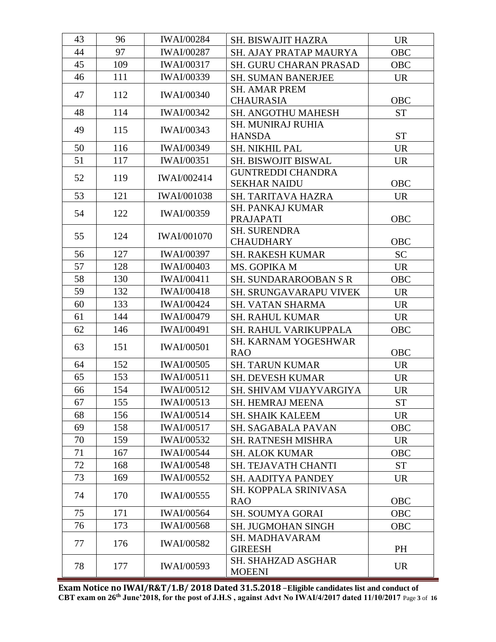| 43 | 96  | <b>IWAI/00284</b>  | <b>SH. BISWAJIT HAZRA</b>                       | <b>UR</b>  |
|----|-----|--------------------|-------------------------------------------------|------------|
| 44 | 97  | <b>IWAI/00287</b>  | <b>SH. AJAY PRATAP MAURYA</b>                   | <b>OBC</b> |
| 45 | 109 | <b>IWAI/00317</b>  | <b>SH. GURU CHARAN PRASAD</b>                   | <b>OBC</b> |
| 46 | 111 | <b>IWAI/00339</b>  | <b>SH. SUMAN BANERJEE</b>                       | <b>UR</b>  |
| 47 | 112 | <b>IWAI/00340</b>  | <b>SH. AMAR PREM</b>                            |            |
|    |     |                    | <b>CHAURASIA</b>                                | <b>OBC</b> |
| 48 | 114 | <b>IWAI/00342</b>  | <b>SH. ANGOTHU MAHESH</b>                       | <b>ST</b>  |
| 49 | 115 | <b>IWAI/00343</b>  | <b>SH. MUNIRAJ RUHIA</b><br><b>HANSDA</b>       | <b>ST</b>  |
| 50 | 116 | <b>IWAI/00349</b>  | <b>SH. NIKHIL PAL</b>                           | <b>UR</b>  |
| 51 | 117 | <b>IWAI/00351</b>  | SH. BISWOJIT BISWAL                             | <b>UR</b>  |
| 52 | 119 | <b>IWAI/002414</b> | <b>GUNTREDDI CHANDRA</b><br><b>SEKHAR NAIDU</b> | <b>OBC</b> |
| 53 | 121 | <b>IWAI/001038</b> | <b>SH. TARITAVA HAZRA</b>                       | <b>UR</b>  |
|    |     |                    | <b>SH. PANKAJ KUMAR</b>                         |            |
| 54 | 122 | <b>IWAI/00359</b>  | PRAJAPATI                                       | <b>OBC</b> |
| 55 | 124 | <b>IWAI/001070</b> | <b>SH. SURENDRA</b>                             |            |
|    |     |                    | <b>CHAUDHARY</b>                                | <b>OBC</b> |
| 56 | 127 | <b>IWAI/00397</b>  | <b>SH. RAKESH KUMAR</b>                         | <b>SC</b>  |
| 57 | 128 | <b>IWAI/00403</b>  | MS. GOPIKA M                                    | <b>UR</b>  |
| 58 | 130 | <b>IWAI/00411</b>  | <b>SH. SUNDARAROOBAN S R</b>                    | <b>OBC</b> |
| 59 | 132 | <b>IWAI/00418</b>  | SH. SRUNGAVARAPU VIVEK                          | <b>UR</b>  |
| 60 | 133 | <b>IWAI/00424</b>  | <b>SH. VATAN SHARMA</b>                         | <b>UR</b>  |
| 61 | 144 | <b>IWAI/00479</b>  | <b>SH. RAHUL KUMAR</b>                          | <b>UR</b>  |
| 62 | 146 | <b>IWAI/00491</b>  | SH. RAHUL VARIKUPPALA                           | <b>OBC</b> |
| 63 | 151 | <b>IWAI/00501</b>  | <b>SH. KARNAM YOGESHWAR</b><br><b>RAO</b>       | <b>OBC</b> |
| 64 | 152 | <b>IWAI/00505</b>  | <b>SH. TARUN KUMAR</b>                          | <b>UR</b>  |
| 65 | 153 | <b>IWAI/00511</b>  | <b>SH. DEVESH KUMAR</b>                         | <b>UR</b>  |
| 66 | 154 | <b>IWAI/00512</b>  | SH. SHIVAM VIJAYVARGIYA                         | <b>UR</b>  |
| 67 | 155 | <b>IWAI/00513</b>  | <b>SH. HEMRAJ MEENA</b>                         | <b>ST</b>  |
| 68 | 156 | <b>IWAI/00514</b>  | <b>SH. SHAIK KALEEM</b>                         | <b>UR</b>  |
| 69 | 158 | <b>IWAI/00517</b>  | <b>SH. SAGABALA PAVAN</b>                       | <b>OBC</b> |
| 70 | 159 | <b>IWAI/00532</b>  | <b>SH. RATNESH MISHRA</b>                       | <b>UR</b>  |
| 71 | 167 | <b>IWAI/00544</b>  | <b>SH. ALOK KUMAR</b>                           | <b>OBC</b> |
| 72 | 168 | <b>IWAI/00548</b>  | <b>SH. TEJAVATH CHANTI</b>                      | <b>ST</b>  |
| 73 | 169 | <b>IWAI/00552</b>  | <b>SH. AADITYA PANDEY</b>                       | <b>UR</b>  |
| 74 | 170 | <b>IWAI/00555</b>  | SH. KOPPALA SRINIVASA<br><b>RAO</b>             | <b>OBC</b> |
| 75 | 171 | <b>IWAI/00564</b>  | <b>SH. SOUMYA GORAI</b>                         | <b>OBC</b> |
| 76 | 173 | <b>IWAI/00568</b>  | <b>SH. JUGMOHAN SINGH</b>                       | <b>OBC</b> |
| 77 | 176 | <b>IWAI/00582</b>  | <b>SH. MADHAVARAM</b><br><b>GIREESH</b>         | PH         |
| 78 | 177 | <b>IWAI/00593</b>  | <b>SH. SHAHZAD ASGHAR</b><br><b>MOEENI</b>      | <b>UR</b>  |

**Exam Notice no IWAI/R&T/1.B/ 2018 Dated 31.5.2018** –**Eligible candidates list and conduct of CBT exam on 26th June'2018, for the post of J.H.S , against Advt No IWAI/4/2017 dated 11/10/2017** Page **3** of **16**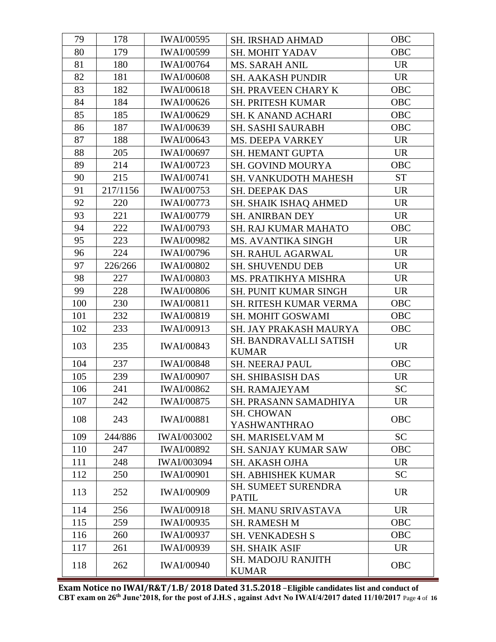| 79  | 178      | <b>IWAI/00595</b>  | <b>SH. IRSHAD AHMAD</b>                | <b>OBC</b> |
|-----|----------|--------------------|----------------------------------------|------------|
| 80  | 179      | <b>IWAI/00599</b>  | <b>SH. MOHIT YADAV</b>                 | <b>OBC</b> |
| 81  | 180      | <b>IWAI/00764</b>  | <b>MS. SARAH ANIL</b>                  | <b>UR</b>  |
| 82  | 181      | <b>IWAI/00608</b>  | SH. AAKASH PUNDIR                      | <b>UR</b>  |
| 83  | 182      | <b>IWAI/00618</b>  | <b>SH. PRAVEEN CHARY K</b>             | <b>OBC</b> |
| 84  | 184      | <b>IWAI/00626</b>  | <b>SH. PRITESH KUMAR</b>               | OBC        |
| 85  | 185      | <b>IWAI/00629</b>  | <b>SH. K ANAND ACHARI</b>              | <b>OBC</b> |
| 86  | 187      | <b>IWAI/00639</b>  | <b>SH. SASHI SAURABH</b>               | OBC        |
| 87  | 188      | <b>IWAI/00643</b>  | <b>MS. DEEPA VARKEY</b>                | <b>UR</b>  |
| 88  | 205      | <b>IWAI/00697</b>  | <b>SH. HEMANT GUPTA</b>                | <b>UR</b>  |
| 89  | 214      | <b>IWAI/00723</b>  | <b>SH. GOVIND MOURYA</b>               | <b>OBC</b> |
| 90  | 215      | <b>IWAI/00741</b>  | <b>SH. VANKUDOTH MAHESH</b>            | <b>ST</b>  |
| 91  | 217/1156 | <b>IWAI/00753</b>  | <b>SH. DEEPAK DAS</b>                  | <b>UR</b>  |
| 92  | 220      | <b>IWAI/00773</b>  | <b>SH. SHAIK ISHAQ AHMED</b>           | <b>UR</b>  |
| 93  | 221      | <b>IWAI/00779</b>  | <b>SH. ANIRBAN DEY</b>                 | <b>UR</b>  |
| 94  | 222      | <b>IWAI/00793</b>  | <b>SH. RAJ KUMAR MAHATO</b>            | <b>OBC</b> |
| 95  | 223      | <b>IWAI/00982</b>  | <b>MS. AVANTIKA SINGH</b>              | <b>UR</b>  |
| 96  | 224      | <b>IWAI/00796</b>  | SH. RAHUL AGARWAL                      | <b>UR</b>  |
| 97  | 226/266  | <b>IWAI/00802</b>  | <b>SH. SHUVENDU DEB</b>                | <b>UR</b>  |
| 98  | 227      | <b>IWAI/00803</b>  | MS. PRATIKHYA MISHRA                   | <b>UR</b>  |
| 99  | 228      | <b>IWAI/00806</b>  | <b>SH. PUNIT KUMAR SINGH</b>           | <b>UR</b>  |
| 100 | 230      | <b>IWAI/00811</b>  | <b>SH. RITESH KUMAR VERMA</b>          | OBC        |
| 101 | 232      | <b>IWAI/00819</b>  | SH. MOHIT GOSWAMI                      | <b>OBC</b> |
| 102 | 233      | <b>IWAI/00913</b>  | SH. JAY PRAKASH MAURYA                 | <b>OBC</b> |
| 103 | 235      | <b>IWAI/00843</b>  | SH. BANDRAVALLI SATISH<br><b>KUMAR</b> | <b>UR</b>  |
| 104 | 237      | <b>IWAI/00848</b>  | <b>SH. NEERAJ PAUL</b>                 | <b>OBC</b> |
| 105 | 239      | <b>IWAI/00907</b>  | <b>SH. SHIBASISH DAS</b>               | <b>UR</b>  |
| 106 | 241      | <b>IWAI/00862</b>  | SH. RAMAJEYAM                          | <b>SC</b>  |
| 107 | 242      | <b>IWAI/00875</b>  | SH. PRASANN SAMADHIYA                  | <b>UR</b>  |
| 108 | 243      | <b>IWAI/00881</b>  | <b>SH. CHOWAN</b><br>YASHWANTHRAO      | <b>OBC</b> |
| 109 | 244/886  | <b>IWAI/003002</b> | <b>SH. MARISELVAM M</b>                | <b>SC</b>  |
| 110 | 247      | <b>IWAI/00892</b>  | <b>SH. SANJAY KUMAR SAW</b>            | <b>OBC</b> |
| 111 | 248      | <b>IWAI/003094</b> | SH. AKASH OJHA                         | <b>UR</b>  |
| 112 | 250      | <b>IWAI/00901</b>  | <b>SH. ABHISHEK KUMAR</b>              | <b>SC</b>  |
| 113 | 252      | <b>IWAI/00909</b>  | SH. SUMEET SURENDRA<br><b>PATIL</b>    | <b>UR</b>  |
| 114 | 256      | <b>IWAI/00918</b>  | SH. MANU SRIVASTAVA                    | <b>UR</b>  |
| 115 | 259      | <b>IWAI/00935</b>  | <b>SH. RAMESH M</b>                    | <b>OBC</b> |
| 116 | 260      | <b>IWAI/00937</b>  | <b>SH. VENKADESH S</b>                 | <b>OBC</b> |
| 117 | 261      | <b>IWAI/00939</b>  | <b>SH. SHAIK ASIF</b>                  | <b>UR</b>  |
| 118 | 262      | <b>IWAI/00940</b>  | SH. MADOJU RANJITH<br><b>KUMAR</b>     | <b>OBC</b> |

**Exam Notice no IWAI/R&T/1.B/ 2018 Dated 31.5.2018** –**Eligible candidates list and conduct of CBT exam on 26th June'2018, for the post of J.H.S , against Advt No IWAI/4/2017 dated 11/10/2017** Page **4** of **16**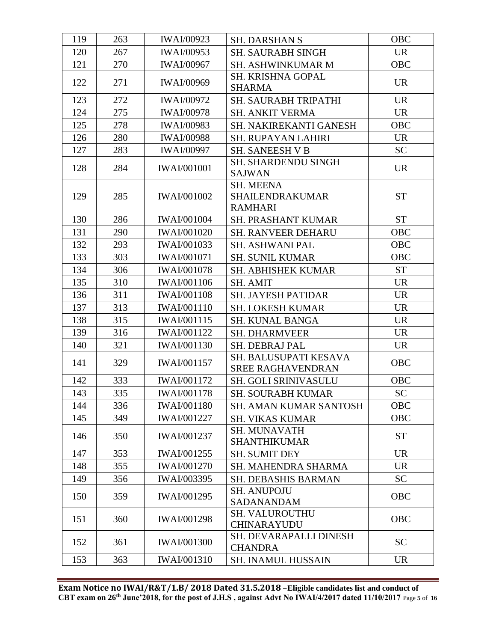| 119 | 263 | <b>IWAI/00923</b>  | <b>SH. DARSHAN S</b>                                  | <b>OBC</b> |
|-----|-----|--------------------|-------------------------------------------------------|------------|
| 120 | 267 | <b>IWAI/00953</b>  | <b>SH. SAURABH SINGH</b>                              | <b>UR</b>  |
| 121 | 270 | <b>IWAI/00967</b>  | <b>SH. ASHWINKUMAR M</b>                              | <b>OBC</b> |
| 122 | 271 | <b>IWAI/00969</b>  | SH. KRISHNA GOPAL<br><b>SHARMA</b>                    | <b>UR</b>  |
| 123 | 272 | <b>IWAI/00972</b>  | SH. SAURABH TRIPATHI                                  | <b>UR</b>  |
| 124 | 275 | <b>IWAI/00978</b>  | <b>SH. ANKIT VERMA</b>                                | <b>UR</b>  |
| 125 | 278 | <b>IWAI/00983</b>  | SH. NAKIREKANTI GANESH                                | OBC        |
| 126 | 280 | <b>IWAI/00988</b>  | <b>SH. RUPAYAN LAHIRI</b>                             | <b>UR</b>  |
| 127 | 283 | <b>IWAI/00997</b>  | <b>SH. SANEESH V B</b>                                | <b>SC</b>  |
| 128 | 284 | <b>IWAI/001001</b> | SH. SHARDENDU SINGH<br><b>SAJWAN</b>                  | <b>UR</b>  |
| 129 | 285 | <b>IWAI/001002</b> | <b>SH. MEENA</b><br>SHAILENDRAKUMAR<br><b>RAMHARI</b> | <b>ST</b>  |
| 130 | 286 | <b>IWAI/001004</b> | <b>SH. PRASHANT KUMAR</b>                             | <b>ST</b>  |
| 131 | 290 | <b>IWAI/001020</b> | <b>SH. RANVEER DEHARU</b>                             | <b>OBC</b> |
| 132 | 293 | IWAI/001033        | <b>SH. ASHWANI PAL</b>                                | OBC        |
| 133 | 303 | <b>IWAI/001071</b> | <b>SH. SUNIL KUMAR</b>                                | <b>OBC</b> |
| 134 | 306 | <b>IWAI/001078</b> | <b>SH. ABHISHEK KUMAR</b>                             | <b>ST</b>  |
| 135 | 310 | <b>IWAI/001106</b> | <b>SH. AMIT</b>                                       | <b>UR</b>  |
| 136 | 311 | <b>IWAI/001108</b> | <b>SH. JAYESH PATIDAR</b>                             | <b>UR</b>  |
| 137 | 313 | <b>IWAI/001110</b> | <b>SH. LOKESH KUMAR</b>                               | <b>UR</b>  |
| 138 | 315 | IWAI/001115        | <b>SH. KUNAL BANGA</b>                                | <b>UR</b>  |
| 139 | 316 | <b>IWAI/001122</b> | <b>SH. DHARMVEER</b>                                  | <b>UR</b>  |
| 140 | 321 | <b>IWAI/001130</b> | <b>SH. DEBRAJ PAL</b>                                 | <b>UR</b>  |
| 141 | 329 | IWAI/001157        | SH. BALUSUPATI KESAVA<br><b>SREE RAGHAVENDRAN</b>     | <b>OBC</b> |
| 142 | 333 | <b>IWAI/001172</b> | <b>SH. GOLI SRINIVASULU</b>                           | <b>OBC</b> |
| 143 | 335 | IWAI/001178        | SH. SOURABH KUMAR                                     | <b>SC</b>  |
| 144 | 336 | <b>IWAI/001180</b> | SH. AMAN KUMAR SANTOSH                                | <b>OBC</b> |
| 145 | 349 | <b>IWAI/001227</b> | <b>SH. VIKAS KUMAR</b>                                | <b>OBC</b> |
| 146 | 350 | IWAI/001237        | <b>SH. MUNAVATH</b><br><b>SHANTHIKUMAR</b>            | <b>ST</b>  |
| 147 | 353 | IWAI/001255        | <b>SH. SUMIT DEY</b>                                  | <b>UR</b>  |
| 148 | 355 | <b>IWAI/001270</b> | SH. MAHENDRA SHARMA                                   | <b>UR</b>  |
| 149 | 356 | IWAI/003395        | <b>SH. DEBASHIS BARMAN</b>                            | <b>SC</b>  |
| 150 | 359 | IWAI/001295        | <b>SH. ANUPOJU</b><br>SADANANDAM                      | <b>OBC</b> |
| 151 | 360 | <b>IWAI/001298</b> | <b>SH. VALUROUTHU</b><br><b>CHINARAYUDU</b>           | <b>OBC</b> |
| 152 | 361 | <b>IWAI/001300</b> | SH. DEVARAPALLI DINESH<br><b>CHANDRA</b>              | <b>SC</b>  |
| 153 | 363 | <b>IWAI/001310</b> | <b>SH. INAMUL HUSSAIN</b>                             | <b>UR</b>  |
|     |     |                    |                                                       |            |

**Exam Notice no IWAI/R&T/1.B/ 2018 Dated 31.5.2018** –**Eligible candidates list and conduct of CBT exam on 26th June'2018, for the post of J.H.S , against Advt No IWAI/4/2017 dated 11/10/2017** Page **5** of **16**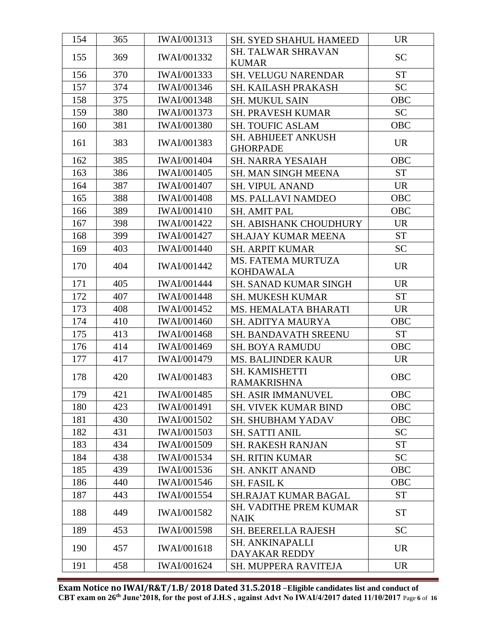| 154 | 365 | IWAI/001313        | SH. SYED SHAHUL HAMEED                        | <b>UR</b>  |
|-----|-----|--------------------|-----------------------------------------------|------------|
| 155 | 369 | <b>IWAI/001332</b> | <b>SH. TALWAR SHRAVAN</b>                     | <b>SC</b>  |
|     |     |                    | <b>KUMAR</b>                                  |            |
| 156 | 370 | <b>IWAI/001333</b> | <b>SH. VELUGU NARENDAR</b>                    | <b>ST</b>  |
| 157 | 374 | IWAI/001346        | SH. KAILASH PRAKASH                           | <b>SC</b>  |
| 158 | 375 | <b>IWAI/001348</b> | <b>SH. MUKUL SAIN</b>                         | <b>OBC</b> |
| 159 | 380 | IWAI/001373        | <b>SH. PRAVESH KUMAR</b>                      | <b>SC</b>  |
| 160 | 381 | <b>IWAI/001380</b> | <b>SH. TOUFIC ASLAM</b>                       | <b>OBC</b> |
| 161 | 383 | IWAI/001383        | SH. ABHIJEET ANKUSH<br><b>GHORPADE</b>        | <b>UR</b>  |
| 162 | 385 | <b>IWAI/001404</b> | <b>SH. NARRA YESAIAH</b>                      | <b>OBC</b> |
| 163 | 386 | <b>IWAI/001405</b> | SH. MAN SINGH MEENA                           | <b>ST</b>  |
| 164 | 387 | <b>IWAI/001407</b> | <b>SH. VIPUL ANAND</b>                        | <b>UR</b>  |
| 165 | 388 | <b>IWAI/001408</b> | <b>MS. PALLAVI NAMDEO</b>                     | <b>OBC</b> |
| 166 | 389 | <b>IWAI/001410</b> | <b>SH. AMIT PAL</b>                           | <b>OBC</b> |
| 167 | 398 | <b>IWAI/001422</b> | SH. ABISHANK CHOUDHURY                        | <b>UR</b>  |
| 168 | 399 | <b>IWAI/001427</b> | <b>SH.AJAY KUMAR MEENA</b>                    | <b>ST</b>  |
| 169 | 403 | <b>IWAI/001440</b> | <b>SH. ARPIT KUMAR</b>                        | <b>SC</b>  |
| 170 | 404 | <b>IWAI/001442</b> | <b>MS. FATEMA MURTUZA</b><br><b>KOHDAWALA</b> | <b>UR</b>  |
| 171 | 405 | <b>IWAI/001444</b> | <b>SH. SANAD KUMAR SINGH</b>                  | <b>UR</b>  |
| 172 | 407 | <b>IWAI/001448</b> | <b>SH. MUKESH KUMAR</b>                       | <b>ST</b>  |
| 173 | 408 | <b>IWAI/001452</b> | MS. HEMALATA BHARATI                          | <b>UR</b>  |
| 174 | 410 | <b>IWAI/001460</b> | SH. ADITYA MAURYA                             | <b>OBC</b> |
| 175 | 413 | <b>IWAI/001468</b> | <b>SH. BANDAVATH SREENU</b>                   | <b>ST</b>  |
| 176 | 414 | <b>IWAI/001469</b> | <b>SH. BOYA RAMUDU</b>                        | <b>OBC</b> |
| 177 | 417 | <b>IWAI/001479</b> | <b>MS. BALJINDER KAUR</b>                     | <b>UR</b>  |
| 178 | 420 | <b>IWAI/001483</b> | SH. KAMISHETTI<br><b>RAMAKRISHNA</b>          | <b>OBC</b> |
| 179 | 421 | IWAI/001485        | SH. ASIR IMMANUVEL                            | OBC        |
| 180 | 423 | <b>IWAI/001491</b> | <b>SH. VIVEK KUMAR BIND</b>                   | OBC        |
| 181 | 430 | <b>IWAI/001502</b> | <b>SH. SHUBHAM YADAV</b>                      | <b>OBC</b> |
| 182 | 431 | <b>IWAI/001503</b> | <b>SH. SATTI ANIL</b>                         | <b>SC</b>  |
| 183 | 434 | <b>IWAI/001509</b> | <b>SH. RAKESH RANJAN</b>                      | <b>ST</b>  |
| 184 | 438 | <b>IWAI/001534</b> | <b>SH. RITIN KUMAR</b>                        | <b>SC</b>  |
| 185 | 439 | IWAI/001536        | <b>SH. ANKIT ANAND</b>                        | <b>OBC</b> |
| 186 | 440 | <b>IWAI/001546</b> | <b>SH. FASIL K</b>                            | OBC        |
| 187 | 443 | <b>IWAI/001554</b> | <b>SH.RAJAT KUMAR BAGAL</b>                   | <b>ST</b>  |
| 188 | 449 | <b>IWAI/001582</b> | <b>SH. VADITHE PREM KUMAR</b><br><b>NAIK</b>  | <b>ST</b>  |
| 189 | 453 | <b>IWAI/001598</b> | <b>SH. BEERELLA RAJESH</b>                    | <b>SC</b>  |
| 190 | 457 | <b>IWAI/001618</b> | <b>SH. ANKINAPALLI</b><br>DAYAKAR REDDY       | <b>UR</b>  |
| 191 | 458 | <b>IWAI/001624</b> | SH. MUPPERA RAVITEJA                          | <b>UR</b>  |

**Exam Notice no IWAI/R&T/1.B/ 2018 Dated 31.5.2018** –**Eligible candidates list and conduct of CBT exam on 26th June'2018, for the post of J.H.S , against Advt No IWAI/4/2017 dated 11/10/2017** Page **6** of **16**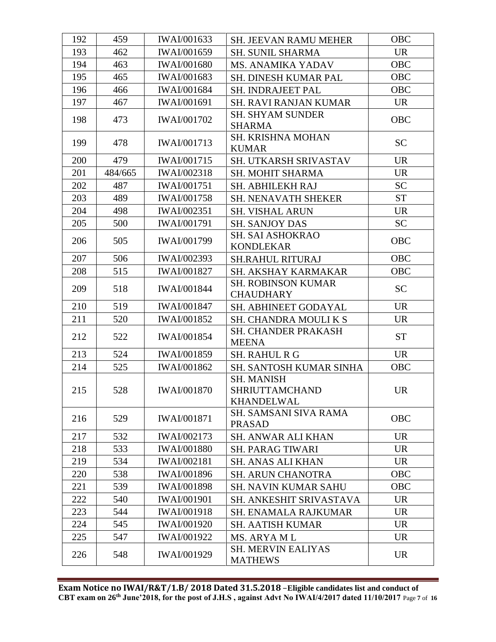| 192 | 459     | IWAI/001633        | <b>SH. JEEVAN RAMU MEHER</b>                                    | <b>OBC</b> |
|-----|---------|--------------------|-----------------------------------------------------------------|------------|
| 193 | 462     | <b>IWAI/001659</b> | <b>SH. SUNIL SHARMA</b>                                         | <b>UR</b>  |
| 194 | 463     | <b>IWAI/001680</b> | <b>MS. ANAMIKA YADAV</b>                                        | <b>OBC</b> |
| 195 | 465     | IWAI/001683        | SH. DINESH KUMAR PAL                                            | OBC        |
| 196 | 466     | <b>IWAI/001684</b> | <b>SH. INDRAJEET PAL</b>                                        | <b>OBC</b> |
| 197 | 467     | <b>IWAI/001691</b> | <b>SH. RAVI RANJAN KUMAR</b>                                    | <b>UR</b>  |
| 198 | 473     | IWAI/001702        | <b>SH. SHYAM SUNDER</b><br><b>SHARMA</b>                        | <b>OBC</b> |
| 199 | 478     | <b>IWAI/001713</b> | <b>SH. KRISHNA MOHAN</b><br><b>KUMAR</b>                        | <b>SC</b>  |
| 200 | 479     | <b>IWAI/001715</b> | <b>SH. UTKARSH SRIVASTAV</b>                                    | <b>UR</b>  |
| 201 | 484/665 | IWAI/002318        | <b>SH. MOHIT SHARMA</b>                                         | <b>UR</b>  |
| 202 | 487     | <b>IWAI/001751</b> | SH. ABHILEKH RAJ                                                | <b>SC</b>  |
| 203 | 489     | <b>IWAI/001758</b> | <b>SH. NENAVATH SHEKER</b>                                      | <b>ST</b>  |
| 204 | 498     | <b>IWAI/002351</b> | <b>SH. VISHAL ARUN</b>                                          | <b>UR</b>  |
| 205 | 500     | <b>IWAI/001791</b> | <b>SH. SANJOY DAS</b>                                           | <b>SC</b>  |
| 206 | 505     | IWAI/001799        | <b>SH. SAI ASHOKRAO</b><br><b>KONDLEKAR</b>                     | OBC        |
| 207 | 506     | <b>IWAI/002393</b> | <b>SH.RAHUL RITURAJ</b>                                         | <b>OBC</b> |
| 208 | 515     | <b>IWAI/001827</b> | SH. AKSHAY KARMAKAR                                             | <b>OBC</b> |
| 209 | 518     | <b>IWAI/001844</b> | <b>SH. ROBINSON KUMAR</b><br><b>CHAUDHARY</b>                   | <b>SC</b>  |
| 210 | 519     | <b>IWAI/001847</b> | SH. ABHINEET GODAYAL                                            | <b>UR</b>  |
| 211 | 520     | <b>IWAI/001852</b> | <b>SH. CHANDRA MOULIKS</b>                                      | <b>UR</b>  |
| 212 | 522     | <b>IWAI/001854</b> | SH. CHANDER PRAKASH<br><b>MEENA</b>                             | <b>ST</b>  |
| 213 | 524     | <b>IWAI/001859</b> | <b>SH. RAHUL R G</b>                                            | <b>UR</b>  |
| 214 | 525     | <b>IWAI/001862</b> | SH. SANTOSH KUMAR SINHA                                         | <b>OBC</b> |
| 215 | 528     | <b>IWAI/001870</b> | <b>SH. MANISH</b><br><b>SHRIUTTAMCHAND</b><br><b>KHANDELWAL</b> | <b>UR</b>  |
| 216 | 529     | <b>IWAI/001871</b> | <b>SH. SAMSANI SIVA RAMA</b><br><b>PRASAD</b>                   | <b>OBC</b> |
| 217 | 532     | <b>IWAI/002173</b> | <b>SH. ANWAR ALI KHAN</b>                                       | <b>UR</b>  |
| 218 | 533     | <b>IWAI/001880</b> | <b>SH. PARAG TIWARI</b>                                         | <b>UR</b>  |
| 219 | 534     | <b>IWAI/002181</b> | <b>SH. ANAS ALI KHAN</b>                                        | <b>UR</b>  |
| 220 | 538     | <b>IWAI/001896</b> | <b>SH. ARUN CHANOTRA</b>                                        | <b>OBC</b> |
| 221 | 539     | <b>IWAI/001898</b> | <b>SH. NAVIN KUMAR SAHU</b>                                     | <b>OBC</b> |
| 222 | 540     | <b>IWAI/001901</b> | <b>SH. ANKESHIT SRIVASTAVA</b>                                  | <b>UR</b>  |
| 223 | 544     | <b>IWAI/001918</b> | <b>SH. ENAMALA RAJKUMAR</b>                                     | <b>UR</b>  |
| 224 | 545     | <b>IWAI/001920</b> | <b>SH. AATISH KUMAR</b>                                         | <b>UR</b>  |
| 225 | 547     | <b>IWAI/001922</b> | MS. ARYA ML                                                     | <b>UR</b>  |
| 226 | 548     | IWAI/001929        | <b>SH. MERVIN EALIYAS</b><br><b>MATHEWS</b>                     | <b>UR</b>  |
|     |         |                    |                                                                 |            |

**Exam Notice no IWAI/R&T/1.B/ 2018 Dated 31.5.2018** –**Eligible candidates list and conduct of CBT exam on 26th June'2018, for the post of J.H.S , against Advt No IWAI/4/2017 dated 11/10/2017** Page **7** of **16**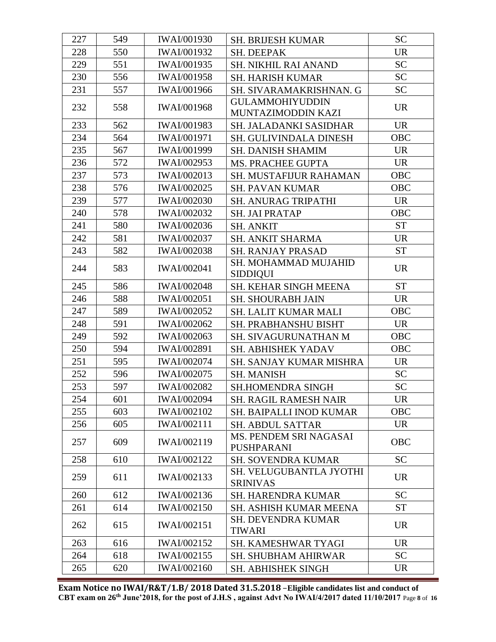| 227 | 549 | <b>IWAI/001930</b> | <b>SH. BRIJESH KUMAR</b>                     | <b>SC</b>  |
|-----|-----|--------------------|----------------------------------------------|------------|
| 228 | 550 | <b>IWAI/001932</b> | SH. DEEPAK                                   | <b>UR</b>  |
| 229 | 551 | <b>IWAI/001935</b> | <b>SH. NIKHIL RAI ANAND</b>                  | <b>SC</b>  |
| 230 | 556 | <b>IWAI/001958</b> | <b>SH. HARISH KUMAR</b>                      | <b>SC</b>  |
| 231 | 557 | IWAI/001966        | SH. SIVARAMAKRISHNAN. G                      | <b>SC</b>  |
| 232 | 558 | <b>IWAI/001968</b> | <b>GULAMMOHIYUDDIN</b><br>MUNTAZIMODDIN KAZI | <b>UR</b>  |
| 233 | 562 | IWAI/001983        | SH. JALADANKI SASIDHAR                       | <b>UR</b>  |
| 234 | 564 | <b>IWAI/001971</b> | <b>SH. GULIVINDALA DINESH</b>                | <b>OBC</b> |
| 235 | 567 | <b>IWAI/001999</b> | <b>SH. DANISH SHAMIM</b>                     | <b>UR</b>  |
| 236 | 572 | <b>IWAI/002953</b> | MS. PRACHEE GUPTA                            | <b>UR</b>  |
| 237 | 573 | IWAI/002013        | SH. MUSTAFIJUR RAHAMAN                       | OBC        |
| 238 | 576 | <b>IWAI/002025</b> | <b>SH. PAVAN KUMAR</b>                       | OBC        |
| 239 | 577 | <b>IWAI/002030</b> | <b>SH. ANURAG TRIPATHI</b>                   | <b>UR</b>  |
| 240 | 578 | <b>IWAI/002032</b> | <b>SH. JAI PRATAP</b>                        | OBC        |
| 241 | 580 | <b>IWAI/002036</b> | <b>SH. ANKIT</b>                             | <b>ST</b>  |
| 242 | 581 | <b>IWAI/002037</b> | <b>SH. ANKIT SHARMA</b>                      | <b>UR</b>  |
| 243 | 582 | <b>IWAI/002038</b> | <b>SH. RANJAY PRASAD</b>                     | <b>ST</b>  |
| 244 | 583 | <b>IWAI/002041</b> | SH. MOHAMMAD MUJAHID<br><b>SIDDIQUI</b>      | <b>UR</b>  |
| 245 | 586 | <b>IWAI/002048</b> | <b>SH. KEHAR SINGH MEENA</b>                 | <b>ST</b>  |
| 246 | 588 | <b>IWAI/002051</b> | <b>SH. SHOURABH JAIN</b>                     | <b>UR</b>  |
| 247 | 589 | IWAI/002052        | SH. LALIT KUMAR MALI                         | <b>OBC</b> |
| 248 | 591 | <b>IWAI/002062</b> | <b>SH. PRABHANSHU BISHT</b>                  | <b>UR</b>  |
| 249 | 592 | <b>IWAI/002063</b> | SH. SIVAGURUNATHAN M                         | OBC        |
| 250 | 594 | IWAI/002891        | SH. ABHISHEK YADAV                           | <b>OBC</b> |
| 251 | 595 | <b>IWAI/002074</b> | <b>SH. SANJAY KUMAR MISHRA</b>               | <b>UR</b>  |
| 252 | 596 | <b>IWAI/002075</b> | <b>SH. MANISH</b>                            | <b>SC</b>  |
| 253 | 597 | <b>IWAI/002082</b> | <b>SH.HOMENDRA SINGH</b>                     | <b>SC</b>  |
| 254 | 601 | <b>IWAI/002094</b> | <b>SH. RAGIL RAMESH NAIR</b>                 | <b>UR</b>  |
| 255 | 603 | <b>IWAI/002102</b> | <b>SH. BAIPALLI INOD KUMAR</b>               | OBC        |
| 256 | 605 | <b>IWAI/002111</b> | <b>SH. ABDUL SATTAR</b>                      | <b>UR</b>  |
| 257 | 609 | IWAI/002119        | MS. PENDEM SRI NAGASAI<br>PUSHPARANI         | <b>OBC</b> |
| 258 | 610 | <b>IWAI/002122</b> | <b>SH. SOVENDRA KUMAR</b>                    | <b>SC</b>  |
| 259 | 611 | IWAI/002133        | SH. VELUGUBANTLA JYOTHI<br><b>SRINIVAS</b>   | <b>UR</b>  |
| 260 | 612 | IWAI/002136        | <b>SH. HARENDRA KUMAR</b>                    | <b>SC</b>  |
| 261 | 614 | <b>IWAI/002150</b> | <b>SH. ASHISH KUMAR MEENA</b>                | <b>ST</b>  |
| 262 | 615 | <b>IWAI/002151</b> | <b>SH. DEVENDRA KUMAR</b><br>TIWARI          | <b>UR</b>  |
| 263 | 616 | <b>IWAI/002152</b> | <b>SH. KAMESHWAR TYAGI</b>                   | <b>UR</b>  |
| 264 | 618 | <b>IWAI/002155</b> | <b>SH. SHUBHAM AHIRWAR</b>                   | <b>SC</b>  |
| 265 | 620 | IWAI/002160        | SH. ABHISHEK SINGH                           | <b>UR</b>  |

**Exam Notice no IWAI/R&T/1.B/ 2018 Dated 31.5.2018** –**Eligible candidates list and conduct of CBT exam on 26th June'2018, for the post of J.H.S , against Advt No IWAI/4/2017 dated 11/10/2017** Page **8** of **16**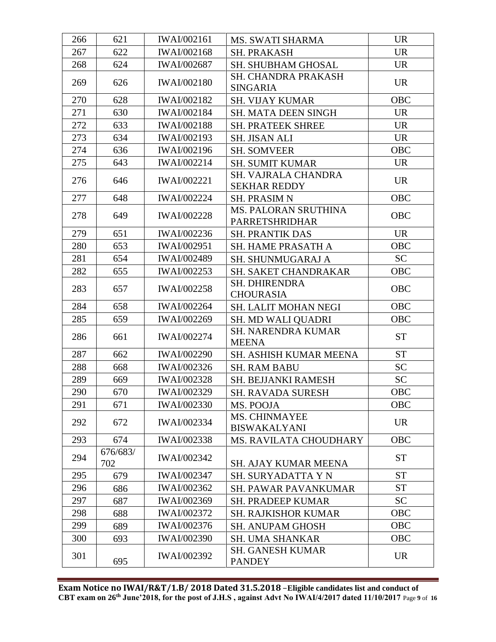| 621<br>266<br><b>IWAI/002161</b><br><b>UR</b><br>MS. SWATI SHARMA<br>622<br>267<br><b>IWAI/002168</b><br><b>UR</b><br><b>SH. PRAKASH</b><br>268<br>624<br>IWAI/002687<br><b>UR</b><br><b>SH. SHUBHAM GHOSAL</b><br><b>SH. CHANDRA PRAKASH</b><br>269<br>626<br><b>IWAI/002180</b><br><b>UR</b><br><b>SINGARIA</b><br>270<br>628<br><b>OBC</b><br><b>IWAI/002182</b><br><b>SH. VIJAY KUMAR</b><br>271<br>630<br>IWAI/002184<br><b>UR</b><br><b>SH. MATA DEEN SINGH</b><br>272<br>633<br>IWAI/002188<br><b>UR</b><br><b>SH. PRATEEK SHREE</b><br>273<br>634<br>IWAI/002193<br><b>UR</b><br><b>SH. JISAN ALI</b><br>274<br>636<br>IWAI/002196<br><b>OBC</b><br><b>SH. SOMVEER</b><br>275<br>643<br><b>IWAI/002214</b><br><b>UR</b><br><b>SH. SUMIT KUMAR</b><br>SH. VAJRALA CHANDRA<br>276<br>646<br><b>IWAI/002221</b><br><b>UR</b><br><b>SEKHAR REDDY</b><br>648<br><b>OBC</b><br>277<br><b>IWAI/002224</b><br><b>SH. PRASIM N</b><br><b>MS. PALORAN SRUTHINA</b><br>649<br><b>OBC</b><br>278<br><b>IWAI/002228</b><br>PARRETSHRIDHAR<br>279<br>651<br><b>UR</b><br>IWAI/002236<br><b>SH. PRANTIK DAS</b><br>280<br>653<br>IWAI/002951<br><b>OBC</b><br><b>SH. HAME PRASATH A</b><br>281<br>654<br><b>SC</b><br><b>IWAI/002489</b><br><b>SH. SHUNMUGARAJ A</b><br>OBC<br>282<br>655<br>IWAI/002253<br>SH. SAKET CHANDRAKAR<br><b>SH. DHIRENDRA</b><br>283<br>657<br>IWAI/002258<br><b>OBC</b><br><b>CHOURASIA</b><br><b>OBC</b><br>284<br>658<br>IWAI/002264<br>SH. LALIT MOHAN NEGI<br>285<br><b>OBC</b><br>659<br>IWAI/002269<br>SH. MD WALI QUADRI<br><b>SH. NARENDRA KUMAR</b><br>286<br>IWAI/002274<br><b>ST</b><br>661<br><b>MEENA</b><br><b>ST</b><br>662<br>287<br><b>IWAI/002290</b><br>SH. ASHISH KUMAR MEENA<br>288<br><b>SC</b><br>668<br>IWAI/002326<br><b>SH. RAM BABU</b><br><b>SC</b><br>289<br>669<br>IWAI/002328<br><b>SH. BEJJANKI RAMESH</b><br>290<br><b>IWAI/002329</b><br>670<br><b>OBC</b><br><b>SH. RAVADA SURESH</b><br>291<br>OBC<br>671<br><b>IWAI/002330</b><br>MS. POOJA<br><b>MS. CHINMAYEE</b><br>292<br><b>UR</b><br>672<br><b>IWAI/002334</b><br><b>BISWAKALYANI</b><br>293<br>674<br><b>OBC</b><br><b>IWAI/002338</b><br><b>MS. RAVILATA CHOUDHARY</b><br>676/683/<br>294<br><b>ST</b><br>IWAI/002342<br>702<br><b>SH. AJAY KUMAR MEENA</b><br><b>ST</b><br>295<br>679<br><b>IWAI/002347</b><br><b>SH. SURYADATTA Y N</b><br><b>ST</b><br>296<br><b>IWAI/002362</b><br>686<br><b>SH. PAWAR PAVANKUMAR</b><br><b>SC</b><br>297<br>687<br>IWAI/002369<br><b>SH. PRADEEP KUMAR</b><br>298<br>OBC<br><b>IWAI/002372</b><br>688<br><b>SH. RAJKISHOR KUMAR</b><br>299<br>OBC<br>IWAI/002376<br>689<br><b>SH. ANUPAM GHOSH</b><br>300<br>OBC<br><b>IWAI/002390</b><br>693<br><b>SH. UMA SHANKAR</b><br><b>SH. GANESH KUMAR</b><br>301<br>IWAI/002392<br><b>UR</b><br>695<br><b>PANDEY</b> |  |  |  |
|----------------------------------------------------------------------------------------------------------------------------------------------------------------------------------------------------------------------------------------------------------------------------------------------------------------------------------------------------------------------------------------------------------------------------------------------------------------------------------------------------------------------------------------------------------------------------------------------------------------------------------------------------------------------------------------------------------------------------------------------------------------------------------------------------------------------------------------------------------------------------------------------------------------------------------------------------------------------------------------------------------------------------------------------------------------------------------------------------------------------------------------------------------------------------------------------------------------------------------------------------------------------------------------------------------------------------------------------------------------------------------------------------------------------------------------------------------------------------------------------------------------------------------------------------------------------------------------------------------------------------------------------------------------------------------------------------------------------------------------------------------------------------------------------------------------------------------------------------------------------------------------------------------------------------------------------------------------------------------------------------------------------------------------------------------------------------------------------------------------------------------------------------------------------------------------------------------------------------------------------------------------------------------------------------------------------------------------------------------------------------------------------------------------------------------------------------------------------------------------------------------------------------------------------------------------------------------------------------------------------------------------------------------------------------------------------------------------------------------------------------------------------------------------------------------------------|--|--|--|
|                                                                                                                                                                                                                                                                                                                                                                                                                                                                                                                                                                                                                                                                                                                                                                                                                                                                                                                                                                                                                                                                                                                                                                                                                                                                                                                                                                                                                                                                                                                                                                                                                                                                                                                                                                                                                                                                                                                                                                                                                                                                                                                                                                                                                                                                                                                                                                                                                                                                                                                                                                                                                                                                                                                                                                                                                      |  |  |  |
|                                                                                                                                                                                                                                                                                                                                                                                                                                                                                                                                                                                                                                                                                                                                                                                                                                                                                                                                                                                                                                                                                                                                                                                                                                                                                                                                                                                                                                                                                                                                                                                                                                                                                                                                                                                                                                                                                                                                                                                                                                                                                                                                                                                                                                                                                                                                                                                                                                                                                                                                                                                                                                                                                                                                                                                                                      |  |  |  |
|                                                                                                                                                                                                                                                                                                                                                                                                                                                                                                                                                                                                                                                                                                                                                                                                                                                                                                                                                                                                                                                                                                                                                                                                                                                                                                                                                                                                                                                                                                                                                                                                                                                                                                                                                                                                                                                                                                                                                                                                                                                                                                                                                                                                                                                                                                                                                                                                                                                                                                                                                                                                                                                                                                                                                                                                                      |  |  |  |
|                                                                                                                                                                                                                                                                                                                                                                                                                                                                                                                                                                                                                                                                                                                                                                                                                                                                                                                                                                                                                                                                                                                                                                                                                                                                                                                                                                                                                                                                                                                                                                                                                                                                                                                                                                                                                                                                                                                                                                                                                                                                                                                                                                                                                                                                                                                                                                                                                                                                                                                                                                                                                                                                                                                                                                                                                      |  |  |  |
|                                                                                                                                                                                                                                                                                                                                                                                                                                                                                                                                                                                                                                                                                                                                                                                                                                                                                                                                                                                                                                                                                                                                                                                                                                                                                                                                                                                                                                                                                                                                                                                                                                                                                                                                                                                                                                                                                                                                                                                                                                                                                                                                                                                                                                                                                                                                                                                                                                                                                                                                                                                                                                                                                                                                                                                                                      |  |  |  |
|                                                                                                                                                                                                                                                                                                                                                                                                                                                                                                                                                                                                                                                                                                                                                                                                                                                                                                                                                                                                                                                                                                                                                                                                                                                                                                                                                                                                                                                                                                                                                                                                                                                                                                                                                                                                                                                                                                                                                                                                                                                                                                                                                                                                                                                                                                                                                                                                                                                                                                                                                                                                                                                                                                                                                                                                                      |  |  |  |
|                                                                                                                                                                                                                                                                                                                                                                                                                                                                                                                                                                                                                                                                                                                                                                                                                                                                                                                                                                                                                                                                                                                                                                                                                                                                                                                                                                                                                                                                                                                                                                                                                                                                                                                                                                                                                                                                                                                                                                                                                                                                                                                                                                                                                                                                                                                                                                                                                                                                                                                                                                                                                                                                                                                                                                                                                      |  |  |  |
|                                                                                                                                                                                                                                                                                                                                                                                                                                                                                                                                                                                                                                                                                                                                                                                                                                                                                                                                                                                                                                                                                                                                                                                                                                                                                                                                                                                                                                                                                                                                                                                                                                                                                                                                                                                                                                                                                                                                                                                                                                                                                                                                                                                                                                                                                                                                                                                                                                                                                                                                                                                                                                                                                                                                                                                                                      |  |  |  |
|                                                                                                                                                                                                                                                                                                                                                                                                                                                                                                                                                                                                                                                                                                                                                                                                                                                                                                                                                                                                                                                                                                                                                                                                                                                                                                                                                                                                                                                                                                                                                                                                                                                                                                                                                                                                                                                                                                                                                                                                                                                                                                                                                                                                                                                                                                                                                                                                                                                                                                                                                                                                                                                                                                                                                                                                                      |  |  |  |
|                                                                                                                                                                                                                                                                                                                                                                                                                                                                                                                                                                                                                                                                                                                                                                                                                                                                                                                                                                                                                                                                                                                                                                                                                                                                                                                                                                                                                                                                                                                                                                                                                                                                                                                                                                                                                                                                                                                                                                                                                                                                                                                                                                                                                                                                                                                                                                                                                                                                                                                                                                                                                                                                                                                                                                                                                      |  |  |  |
|                                                                                                                                                                                                                                                                                                                                                                                                                                                                                                                                                                                                                                                                                                                                                                                                                                                                                                                                                                                                                                                                                                                                                                                                                                                                                                                                                                                                                                                                                                                                                                                                                                                                                                                                                                                                                                                                                                                                                                                                                                                                                                                                                                                                                                                                                                                                                                                                                                                                                                                                                                                                                                                                                                                                                                                                                      |  |  |  |
|                                                                                                                                                                                                                                                                                                                                                                                                                                                                                                                                                                                                                                                                                                                                                                                                                                                                                                                                                                                                                                                                                                                                                                                                                                                                                                                                                                                                                                                                                                                                                                                                                                                                                                                                                                                                                                                                                                                                                                                                                                                                                                                                                                                                                                                                                                                                                                                                                                                                                                                                                                                                                                                                                                                                                                                                                      |  |  |  |
|                                                                                                                                                                                                                                                                                                                                                                                                                                                                                                                                                                                                                                                                                                                                                                                                                                                                                                                                                                                                                                                                                                                                                                                                                                                                                                                                                                                                                                                                                                                                                                                                                                                                                                                                                                                                                                                                                                                                                                                                                                                                                                                                                                                                                                                                                                                                                                                                                                                                                                                                                                                                                                                                                                                                                                                                                      |  |  |  |
|                                                                                                                                                                                                                                                                                                                                                                                                                                                                                                                                                                                                                                                                                                                                                                                                                                                                                                                                                                                                                                                                                                                                                                                                                                                                                                                                                                                                                                                                                                                                                                                                                                                                                                                                                                                                                                                                                                                                                                                                                                                                                                                                                                                                                                                                                                                                                                                                                                                                                                                                                                                                                                                                                                                                                                                                                      |  |  |  |
|                                                                                                                                                                                                                                                                                                                                                                                                                                                                                                                                                                                                                                                                                                                                                                                                                                                                                                                                                                                                                                                                                                                                                                                                                                                                                                                                                                                                                                                                                                                                                                                                                                                                                                                                                                                                                                                                                                                                                                                                                                                                                                                                                                                                                                                                                                                                                                                                                                                                                                                                                                                                                                                                                                                                                                                                                      |  |  |  |
|                                                                                                                                                                                                                                                                                                                                                                                                                                                                                                                                                                                                                                                                                                                                                                                                                                                                                                                                                                                                                                                                                                                                                                                                                                                                                                                                                                                                                                                                                                                                                                                                                                                                                                                                                                                                                                                                                                                                                                                                                                                                                                                                                                                                                                                                                                                                                                                                                                                                                                                                                                                                                                                                                                                                                                                                                      |  |  |  |
|                                                                                                                                                                                                                                                                                                                                                                                                                                                                                                                                                                                                                                                                                                                                                                                                                                                                                                                                                                                                                                                                                                                                                                                                                                                                                                                                                                                                                                                                                                                                                                                                                                                                                                                                                                                                                                                                                                                                                                                                                                                                                                                                                                                                                                                                                                                                                                                                                                                                                                                                                                                                                                                                                                                                                                                                                      |  |  |  |
|                                                                                                                                                                                                                                                                                                                                                                                                                                                                                                                                                                                                                                                                                                                                                                                                                                                                                                                                                                                                                                                                                                                                                                                                                                                                                                                                                                                                                                                                                                                                                                                                                                                                                                                                                                                                                                                                                                                                                                                                                                                                                                                                                                                                                                                                                                                                                                                                                                                                                                                                                                                                                                                                                                                                                                                                                      |  |  |  |
|                                                                                                                                                                                                                                                                                                                                                                                                                                                                                                                                                                                                                                                                                                                                                                                                                                                                                                                                                                                                                                                                                                                                                                                                                                                                                                                                                                                                                                                                                                                                                                                                                                                                                                                                                                                                                                                                                                                                                                                                                                                                                                                                                                                                                                                                                                                                                                                                                                                                                                                                                                                                                                                                                                                                                                                                                      |  |  |  |
|                                                                                                                                                                                                                                                                                                                                                                                                                                                                                                                                                                                                                                                                                                                                                                                                                                                                                                                                                                                                                                                                                                                                                                                                                                                                                                                                                                                                                                                                                                                                                                                                                                                                                                                                                                                                                                                                                                                                                                                                                                                                                                                                                                                                                                                                                                                                                                                                                                                                                                                                                                                                                                                                                                                                                                                                                      |  |  |  |
|                                                                                                                                                                                                                                                                                                                                                                                                                                                                                                                                                                                                                                                                                                                                                                                                                                                                                                                                                                                                                                                                                                                                                                                                                                                                                                                                                                                                                                                                                                                                                                                                                                                                                                                                                                                                                                                                                                                                                                                                                                                                                                                                                                                                                                                                                                                                                                                                                                                                                                                                                                                                                                                                                                                                                                                                                      |  |  |  |
|                                                                                                                                                                                                                                                                                                                                                                                                                                                                                                                                                                                                                                                                                                                                                                                                                                                                                                                                                                                                                                                                                                                                                                                                                                                                                                                                                                                                                                                                                                                                                                                                                                                                                                                                                                                                                                                                                                                                                                                                                                                                                                                                                                                                                                                                                                                                                                                                                                                                                                                                                                                                                                                                                                                                                                                                                      |  |  |  |
|                                                                                                                                                                                                                                                                                                                                                                                                                                                                                                                                                                                                                                                                                                                                                                                                                                                                                                                                                                                                                                                                                                                                                                                                                                                                                                                                                                                                                                                                                                                                                                                                                                                                                                                                                                                                                                                                                                                                                                                                                                                                                                                                                                                                                                                                                                                                                                                                                                                                                                                                                                                                                                                                                                                                                                                                                      |  |  |  |
|                                                                                                                                                                                                                                                                                                                                                                                                                                                                                                                                                                                                                                                                                                                                                                                                                                                                                                                                                                                                                                                                                                                                                                                                                                                                                                                                                                                                                                                                                                                                                                                                                                                                                                                                                                                                                                                                                                                                                                                                                                                                                                                                                                                                                                                                                                                                                                                                                                                                                                                                                                                                                                                                                                                                                                                                                      |  |  |  |
|                                                                                                                                                                                                                                                                                                                                                                                                                                                                                                                                                                                                                                                                                                                                                                                                                                                                                                                                                                                                                                                                                                                                                                                                                                                                                                                                                                                                                                                                                                                                                                                                                                                                                                                                                                                                                                                                                                                                                                                                                                                                                                                                                                                                                                                                                                                                                                                                                                                                                                                                                                                                                                                                                                                                                                                                                      |  |  |  |
|                                                                                                                                                                                                                                                                                                                                                                                                                                                                                                                                                                                                                                                                                                                                                                                                                                                                                                                                                                                                                                                                                                                                                                                                                                                                                                                                                                                                                                                                                                                                                                                                                                                                                                                                                                                                                                                                                                                                                                                                                                                                                                                                                                                                                                                                                                                                                                                                                                                                                                                                                                                                                                                                                                                                                                                                                      |  |  |  |
|                                                                                                                                                                                                                                                                                                                                                                                                                                                                                                                                                                                                                                                                                                                                                                                                                                                                                                                                                                                                                                                                                                                                                                                                                                                                                                                                                                                                                                                                                                                                                                                                                                                                                                                                                                                                                                                                                                                                                                                                                                                                                                                                                                                                                                                                                                                                                                                                                                                                                                                                                                                                                                                                                                                                                                                                                      |  |  |  |
|                                                                                                                                                                                                                                                                                                                                                                                                                                                                                                                                                                                                                                                                                                                                                                                                                                                                                                                                                                                                                                                                                                                                                                                                                                                                                                                                                                                                                                                                                                                                                                                                                                                                                                                                                                                                                                                                                                                                                                                                                                                                                                                                                                                                                                                                                                                                                                                                                                                                                                                                                                                                                                                                                                                                                                                                                      |  |  |  |
|                                                                                                                                                                                                                                                                                                                                                                                                                                                                                                                                                                                                                                                                                                                                                                                                                                                                                                                                                                                                                                                                                                                                                                                                                                                                                                                                                                                                                                                                                                                                                                                                                                                                                                                                                                                                                                                                                                                                                                                                                                                                                                                                                                                                                                                                                                                                                                                                                                                                                                                                                                                                                                                                                                                                                                                                                      |  |  |  |
|                                                                                                                                                                                                                                                                                                                                                                                                                                                                                                                                                                                                                                                                                                                                                                                                                                                                                                                                                                                                                                                                                                                                                                                                                                                                                                                                                                                                                                                                                                                                                                                                                                                                                                                                                                                                                                                                                                                                                                                                                                                                                                                                                                                                                                                                                                                                                                                                                                                                                                                                                                                                                                                                                                                                                                                                                      |  |  |  |
|                                                                                                                                                                                                                                                                                                                                                                                                                                                                                                                                                                                                                                                                                                                                                                                                                                                                                                                                                                                                                                                                                                                                                                                                                                                                                                                                                                                                                                                                                                                                                                                                                                                                                                                                                                                                                                                                                                                                                                                                                                                                                                                                                                                                                                                                                                                                                                                                                                                                                                                                                                                                                                                                                                                                                                                                                      |  |  |  |
|                                                                                                                                                                                                                                                                                                                                                                                                                                                                                                                                                                                                                                                                                                                                                                                                                                                                                                                                                                                                                                                                                                                                                                                                                                                                                                                                                                                                                                                                                                                                                                                                                                                                                                                                                                                                                                                                                                                                                                                                                                                                                                                                                                                                                                                                                                                                                                                                                                                                                                                                                                                                                                                                                                                                                                                                                      |  |  |  |
|                                                                                                                                                                                                                                                                                                                                                                                                                                                                                                                                                                                                                                                                                                                                                                                                                                                                                                                                                                                                                                                                                                                                                                                                                                                                                                                                                                                                                                                                                                                                                                                                                                                                                                                                                                                                                                                                                                                                                                                                                                                                                                                                                                                                                                                                                                                                                                                                                                                                                                                                                                                                                                                                                                                                                                                                                      |  |  |  |
|                                                                                                                                                                                                                                                                                                                                                                                                                                                                                                                                                                                                                                                                                                                                                                                                                                                                                                                                                                                                                                                                                                                                                                                                                                                                                                                                                                                                                                                                                                                                                                                                                                                                                                                                                                                                                                                                                                                                                                                                                                                                                                                                                                                                                                                                                                                                                                                                                                                                                                                                                                                                                                                                                                                                                                                                                      |  |  |  |
|                                                                                                                                                                                                                                                                                                                                                                                                                                                                                                                                                                                                                                                                                                                                                                                                                                                                                                                                                                                                                                                                                                                                                                                                                                                                                                                                                                                                                                                                                                                                                                                                                                                                                                                                                                                                                                                                                                                                                                                                                                                                                                                                                                                                                                                                                                                                                                                                                                                                                                                                                                                                                                                                                                                                                                                                                      |  |  |  |
|                                                                                                                                                                                                                                                                                                                                                                                                                                                                                                                                                                                                                                                                                                                                                                                                                                                                                                                                                                                                                                                                                                                                                                                                                                                                                                                                                                                                                                                                                                                                                                                                                                                                                                                                                                                                                                                                                                                                                                                                                                                                                                                                                                                                                                                                                                                                                                                                                                                                                                                                                                                                                                                                                                                                                                                                                      |  |  |  |
|                                                                                                                                                                                                                                                                                                                                                                                                                                                                                                                                                                                                                                                                                                                                                                                                                                                                                                                                                                                                                                                                                                                                                                                                                                                                                                                                                                                                                                                                                                                                                                                                                                                                                                                                                                                                                                                                                                                                                                                                                                                                                                                                                                                                                                                                                                                                                                                                                                                                                                                                                                                                                                                                                                                                                                                                                      |  |  |  |

**Exam Notice no IWAI/R&T/1.B/ 2018 Dated 31.5.2018** –**Eligible candidates list and conduct of CBT exam on 26th June'2018, for the post of J.H.S , against Advt No IWAI/4/2017 dated 11/10/2017** Page **9** of **16**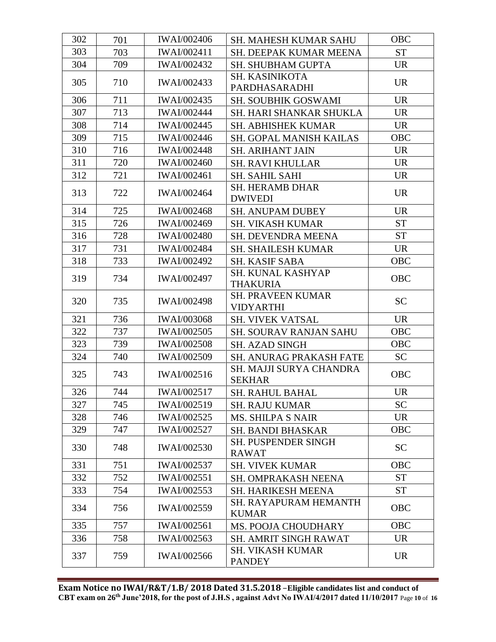| 302 | 701 | <b>IWAI/002406</b> | SH. MAHESH KUMAR SAHU                                     | <b>OBC</b> |
|-----|-----|--------------------|-----------------------------------------------------------|------------|
| 303 | 703 | <b>IWAI/002411</b> | SH. DEEPAK KUMAR MEENA                                    | <b>ST</b>  |
| 304 | 709 | <b>IWAI/002432</b> | <b>SH. SHUBHAM GUPTA</b>                                  | <b>UR</b>  |
| 305 | 710 | <b>IWAI/002433</b> | <b>SH. KASINIKOTA</b>                                     | <b>UR</b>  |
|     |     |                    | PARDHASARADHI                                             |            |
| 306 | 711 | <b>IWAI/002435</b> | <b>SH. SOUBHIK GOSWAMI</b>                                | <b>UR</b>  |
| 307 | 713 | <b>IWAI/002444</b> | SH. HARI SHANKAR SHUKLA                                   | <b>UR</b>  |
| 308 | 714 | <b>IWAI/002445</b> | <b>SH. ABHISHEK KUMAR</b>                                 | <b>UR</b>  |
| 309 | 715 | <b>IWAI/002446</b> | <b>SH. GOPAL MANISH KAILAS</b>                            | OBC        |
| 310 | 716 | <b>IWAI/002448</b> | <b>SH. ARIHANT JAIN</b>                                   | <b>UR</b>  |
| 311 | 720 | <b>IWAI/002460</b> | <b>SH. RAVI KHULLAR</b>                                   | <b>UR</b>  |
| 312 | 721 | <b>IWAI/002461</b> | <b>SH. SAHIL SAHI</b>                                     | <b>UR</b>  |
| 313 | 722 | <b>IWAI/002464</b> | <b>SH. HERAMB DHAR</b>                                    | <b>UR</b>  |
|     |     |                    | <b>DWIVEDI</b>                                            |            |
| 314 | 725 | <b>IWAI/002468</b> | <b>SH. ANUPAM DUBEY</b>                                   | <b>UR</b>  |
| 315 | 726 | <b>IWAI/002469</b> | <b>SH. VIKASH KUMAR</b>                                   | <b>ST</b>  |
| 316 | 728 | <b>IWAI/002480</b> | <b>SH. DEVENDRA MEENA</b>                                 | <b>ST</b>  |
| 317 | 731 | <b>IWAI/002484</b> | <b>SH. SHAILESH KUMAR</b>                                 | <b>UR</b>  |
| 318 | 733 | <b>IWAI/002492</b> | SH. KASIF SABA                                            | OBC        |
| 319 | 734 | <b>IWAI/002497</b> | SH. KUNAL KASHYAP                                         | <b>OBC</b> |
|     |     |                    | <b>THAKURIA</b>                                           |            |
| 320 | 735 | <b>IWAI/002498</b> | <b>SH. PRAVEEN KUMAR</b>                                  | <b>SC</b>  |
| 321 | 736 | <b>IWAI/003068</b> | <b>VIDYARTHI</b>                                          | <b>UR</b>  |
| 322 | 737 | <b>IWAI/002505</b> | <b>SH. VIVEK VATSAL</b>                                   | <b>OBC</b> |
| 323 | 739 | <b>IWAI/002508</b> | <b>SH. SOURAV RANJAN SAHU</b>                             | <b>OBC</b> |
|     |     |                    | <b>SH. AZAD SINGH</b>                                     |            |
| 324 | 740 | <b>IWAI/002509</b> | <b>SH. ANURAG PRAKASH FATE</b><br>SH. MAJJI SURYA CHANDRA | <b>SC</b>  |
| 325 | 743 | IWAI/002516        | <b>SEKHAR</b>                                             | <b>OBC</b> |
| 326 | 744 | IWAI/002517        | SH. RAHUL BAHAL                                           | <b>UR</b>  |
| 327 | 745 | IWAI/002519        | <b>SH. RAJU KUMAR</b>                                     | <b>SC</b>  |
| 328 | 746 | <b>IWAI/002525</b> | <b>MS. SHILPA S NAIR</b>                                  | <b>UR</b>  |
| 329 | 747 | <b>IWAI/002527</b> | <b>SH. BANDI BHASKAR</b>                                  | OBC        |
|     |     |                    | <b>SH. PUSPENDER SINGH</b>                                |            |
| 330 | 748 | <b>IWAI/002530</b> | <b>RAWAT</b>                                              | <b>SC</b>  |
| 331 | 751 | IWAI/002537        | <b>SH. VIVEK KUMAR</b>                                    | <b>OBC</b> |
| 332 | 752 | <b>IWAI/002551</b> | <b>SH. OMPRAKASH NEENA</b>                                | <b>ST</b>  |
| 333 | 754 | <b>IWAI/002553</b> | SH. HARIKESH MEENA                                        | <b>ST</b>  |
|     |     |                    | <b>SH. RAYAPURAM HEMANTH</b>                              |            |
| 334 | 756 | <b>IWAI/002559</b> | <b>KUMAR</b>                                              | OBC        |
| 335 | 757 | <b>IWAI/002561</b> | MS. POOJA CHOUDHARY                                       | <b>OBC</b> |
| 336 | 758 | <b>IWAI/002563</b> | <b>SH. AMRIT SINGH RAWAT</b>                              | <b>UR</b>  |
|     |     |                    | <b>SH. VIKASH KUMAR</b>                                   |            |
| 337 | 759 | <b>IWAI/002566</b> | <b>PANDEY</b>                                             | <b>UR</b>  |
|     |     |                    |                                                           |            |

**Exam Notice no IWAI/R&T/1.B/ 2018 Dated 31.5.2018** –**Eligible candidates list and conduct of CBT exam on 26th June'2018, for the post of J.H.S , against Advt No IWAI/4/2017 dated 11/10/2017** Page **10** of **16**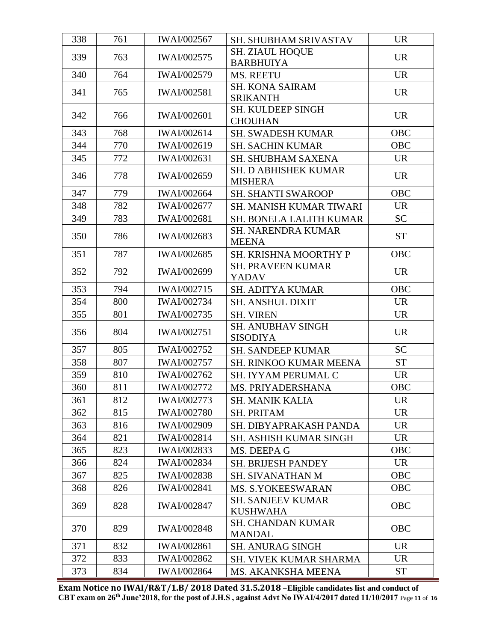| 338 | 761 | <b>IWAI/002567</b> | <b>SH. SHUBHAM SRIVASTAV</b>                | <b>UR</b>  |
|-----|-----|--------------------|---------------------------------------------|------------|
| 339 | 763 | IWAI/002575        | SH. ZIAUL HOQUE                             | <b>UR</b>  |
|     |     |                    | <b>BARBHUIYA</b>                            |            |
| 340 | 764 | IWAI/002579        | MS. REETU                                   | <b>UR</b>  |
| 341 | 765 | <b>IWAI/002581</b> | <b>SH. KONA SAIRAM</b>                      | <b>UR</b>  |
|     |     |                    | <b>SRIKANTH</b>                             |            |
| 342 | 766 | <b>IWAI/002601</b> | <b>SH. KULDEEP SINGH</b><br><b>CHOUHAN</b>  | <b>UR</b>  |
| 343 | 768 | <b>IWAI/002614</b> | <b>SH. SWADESH KUMAR</b>                    | <b>OBC</b> |
| 344 | 770 | IWAI/002619        | <b>SH. SACHIN KUMAR</b>                     | <b>OBC</b> |
| 345 | 772 | <b>IWAI/002631</b> | <b>SH. SHUBHAM SAXENA</b>                   | <b>UR</b>  |
|     |     |                    | <b>SH. D ABHISHEK KUMAR</b>                 |            |
| 346 | 778 | <b>IWAI/002659</b> | <b>MISHERA</b>                              | <b>UR</b>  |
| 347 | 779 | <b>IWAI/002664</b> | <b>SH. SHANTI SWAROOP</b>                   | <b>OBC</b> |
| 348 | 782 | <b>IWAI/002677</b> | <b>SH. MANISH KUMAR TIWARI</b>              | <b>UR</b>  |
| 349 | 783 | <b>IWAI/002681</b> | <b>SH. BONELA LALITH KUMAR</b>              | <b>SC</b>  |
| 350 | 786 | <b>IWAI/002683</b> | <b>SH. NARENDRA KUMAR</b><br><b>MEENA</b>   | <b>ST</b>  |
| 351 | 787 | <b>IWAI/002685</b> | SH. KRISHNA MOORTHY P                       | <b>OBC</b> |
| 352 | 792 | <b>IWAI/002699</b> | <b>SH. PRAVEEN KUMAR</b><br><b>YADAV</b>    | <b>UR</b>  |
| 353 | 794 | <b>IWAI/002715</b> | <b>SH. ADITYA KUMAR</b>                     | <b>OBC</b> |
| 354 | 800 | <b>IWAI/002734</b> | <b>SH. ANSHUL DIXIT</b>                     | <b>UR</b>  |
| 355 | 801 | <b>IWAI/002735</b> | <b>SH. VIREN</b>                            | <b>UR</b>  |
|     | 804 |                    | <b>SH. ANUBHAV SINGH</b>                    | <b>UR</b>  |
| 356 |     | <b>IWAI/002751</b> | <b>SISODIYA</b>                             |            |
| 357 | 805 | <b>IWAI/002752</b> | <b>SH. SANDEEP KUMAR</b>                    | <b>SC</b>  |
| 358 | 807 | <b>IWAI/002757</b> | <b>SH. RINKOO KUMAR MEENA</b>               | <b>ST</b>  |
| 359 | 810 | <b>IWAI/002762</b> | SH. IYYAM PERUMAL C                         | <b>UR</b>  |
| 360 | 811 | <b>IWAI/002772</b> | MS. PRIYADERSHANA                           | <b>OBC</b> |
| 361 | 812 | IWAI/002773        | <b>SH. MANIK KALIA</b>                      | <b>UR</b>  |
| 362 | 815 | <b>IWAI/002780</b> | <b>SH. PRITAM</b>                           | <b>UR</b>  |
| 363 | 816 | <b>IWAI/002909</b> | SH. DIBYAPRAKASH PANDA                      | <b>UR</b>  |
| 364 | 821 | <b>IWAI/002814</b> | <b>SH. ASHISH KUMAR SINGH</b>               | <b>UR</b>  |
| 365 | 823 | IWAI/002833        | MS. DEEPA G                                 | OBC        |
| 366 | 824 | <b>IWAI/002834</b> | <b>SH. BRIJESH PANDEY</b>                   | <b>UR</b>  |
| 367 | 825 | <b>IWAI/002838</b> | SH. SIVANATHAN M                            | <b>OBC</b> |
| 368 | 826 | <b>IWAI/002841</b> | <b>MS. S.YOKEESWARAN</b>                    | OBC        |
| 369 | 828 | <b>IWAI/002847</b> | <b>SH. SANJEEV KUMAR</b><br><b>KUSHWAHA</b> | <b>OBC</b> |
| 370 | 829 | <b>IWAI/002848</b> | <b>SH. CHANDAN KUMAR</b><br><b>MANDAL</b>   | OBC        |
| 371 | 832 | <b>IWAI/002861</b> | <b>SH. ANURAG SINGH</b>                     | <b>UR</b>  |
| 372 | 833 | IWAI/002862        | SH. VIVEK KUMAR SHARMA                      | <b>UR</b>  |
| 373 | 834 | <b>IWAI/002864</b> | MS. AKANKSHA MEENA                          | <b>ST</b>  |

**Exam Notice no IWAI/R&T/1.B/ 2018 Dated 31.5.2018** –**Eligible candidates list and conduct of CBT exam on 26th June'2018, for the post of J.H.S , against Advt No IWAI/4/2017 dated 11/10/2017** Page **11** of **16**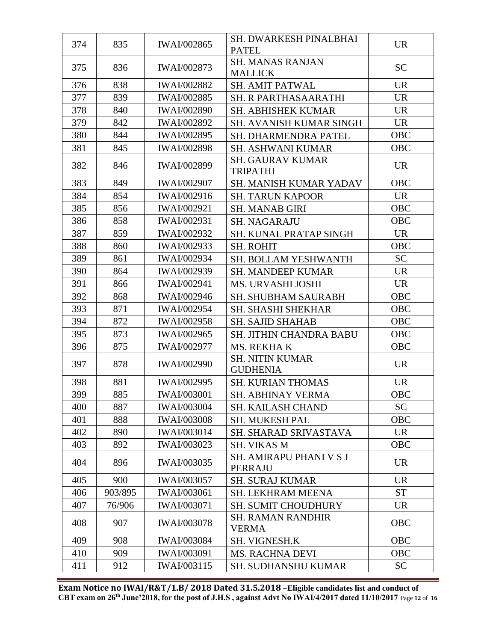| 374 | 835     | <b>IWAI/002865</b> | SH. DWARKESH PINALBHAI<br><b>PATEL</b>     | <b>UR</b>  |
|-----|---------|--------------------|--------------------------------------------|------------|
| 375 | 836     | <b>IWAI/002873</b> | <b>SH. MANAS RANJAN</b><br><b>MALLICK</b>  | <b>SC</b>  |
| 376 | 838     | <b>IWAI/002882</b> | <b>SH. AMIT PATWAL</b>                     | <b>UR</b>  |
| 377 | 839     | <b>IWAI/002885</b> | <b>SH. R PARTHASAARATHI</b>                | <b>UR</b>  |
| 378 | 840     | <b>IWAI/002890</b> | <b>SH. ABHISHEK KUMAR</b>                  | <b>UR</b>  |
| 379 | 842     | IWAI/002892        | <b>SH. AVANISH KUMAR SINGH</b>             | <b>UR</b>  |
| 380 | 844     | IWAI/002895        | SH. DHARMENDRA PATEL                       | <b>OBC</b> |
| 381 | 845     | <b>IWAI/002898</b> | <b>SH. ASHWANI KUMAR</b>                   | <b>OBC</b> |
| 382 | 846     | <b>IWAI/002899</b> | <b>SH. GAURAV KUMAR</b><br><b>TRIPATHI</b> | <b>UR</b>  |
| 383 | 849     | <b>IWAI/002907</b> | <b>SH. MANISH KUMAR YADAV</b>              | <b>OBC</b> |
| 384 | 854     | IWAI/002916        | <b>SH. TARUN KAPOOR</b>                    | <b>UR</b>  |
| 385 | 856     | <b>IWAI/002921</b> | <b>SH. MANAB GIRI</b>                      | <b>OBC</b> |
| 386 | 858     | <b>IWAI/002931</b> | <b>SH. NAGARAJU</b>                        | OBC        |
| 387 | 859     | IWAI/002932        | <b>SH. KUNAL PRATAP SINGH</b>              | <b>UR</b>  |
| 388 | 860     | <b>IWAI/002933</b> | <b>SH. ROHIT</b>                           | OBC        |
| 389 | 861     | <b>IWAI/002934</b> | <b>SH. BOLLAM YESHWANTH</b>                | <b>SC</b>  |
| 390 | 864     | IWAI/002939        | <b>SH. MANDEEP KUMAR</b>                   | <b>UR</b>  |
| 391 | 866     | <b>IWAI/002941</b> | MS. URVASHI JOSHI                          | <b>UR</b>  |
| 392 | 868     | <b>IWAI/002946</b> | <b>SH. SHUBHAM SAURABH</b>                 | <b>OBC</b> |
| 393 | 871     | <b>IWAI/002954</b> | <b>SH. SHASHI SHEKHAR</b>                  | OBC        |
| 394 | 872     | IWAI/002958        | <b>SH. SAJID SHAHAB</b>                    | <b>OBC</b> |
| 395 | 873     | <b>IWAI/002965</b> | <b>SH. JITHIN CHANDRA BABU</b>             | <b>OBC</b> |
| 396 | 875     | <b>IWAI/002977</b> | MS. REKHAK                                 | <b>OBC</b> |
| 397 | 878     | <b>IWAI/002990</b> | <b>SH. NITIN KUMAR</b><br><b>GUDHENIA</b>  | <b>UR</b>  |
| 398 | 881     | <b>IWAI/002995</b> | <b>SH. KURIAN THOMAS</b>                   | <b>UR</b>  |
| 399 | 885     | <b>IWAI/003001</b> | <b>SH. ABHINAY VERMA</b>                   | OBC        |
| 400 | 887     | <b>IWAI/003004</b> | <b>SH. KAILASH CHAND</b>                   | <b>SC</b>  |
| 401 | 888     | <b>IWAI/003008</b> | <b>SH. MUKESH PAL</b>                      | <b>OBC</b> |
| 402 | 890     | IWAI/003014        | SH. SHARAD SRIVASTAVA                      | <b>UR</b>  |
| 403 | 892     | <b>IWAI/003023</b> | <b>SH. VIKAS M</b>                         | OBC        |
| 404 | 896     | <b>IWAI/003035</b> | <b>SH. AMIRAPU PHANI V S J</b><br>PERRAJU  | <b>UR</b>  |
| 405 | 900     | IWAI/003057        | <b>SH. SURAJ KUMAR</b>                     | <b>UR</b>  |
| 406 | 903/895 | <b>IWAI/003061</b> | <b>SH. LEKHRAM MEENA</b>                   | <b>ST</b>  |
| 407 | 76/906  | <b>IWAI/003071</b> | <b>SH. SUMIT CHOUDHURY</b>                 | <b>UR</b>  |
| 408 | 907     | <b>IWAI/003078</b> | <b>SH. RAMAN RANDHIR</b><br><b>VERMA</b>   | <b>OBC</b> |
| 409 | 908     | <b>IWAI/003084</b> | <b>SH. VIGNESH.K</b>                       | <b>OBC</b> |
| 410 | 909     | <b>IWAI/003091</b> | <b>MS. RACHNA DEVI</b>                     | OBC        |
| 411 | 912     | IWAI/003115        | <b>SH. SUDHANSHU KUMAR</b>                 | <b>SC</b>  |

**Exam Notice no IWAI/R&T/1.B/ 2018 Dated 31.5.2018** –**Eligible candidates list and conduct of CBT exam on 26th June'2018, for the post of J.H.S , against Advt No IWAI/4/2017 dated 11/10/2017** Page **12** of **16**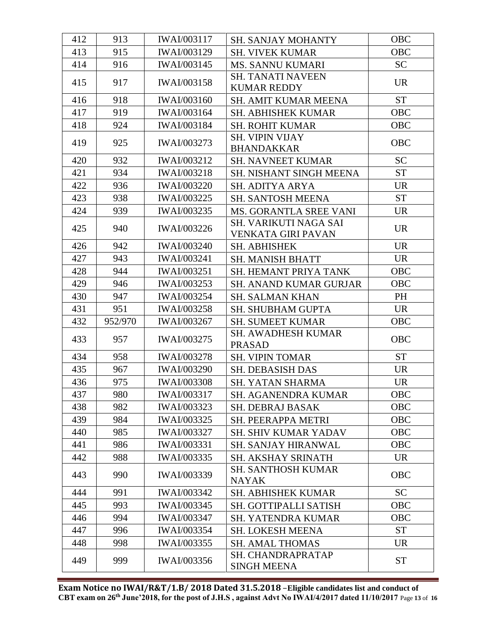| 412 | 913     | IWAI/003117        | <b>SH. SANJAY MOHANTY</b>                   | <b>OBC</b> |
|-----|---------|--------------------|---------------------------------------------|------------|
| 413 | 915     | <b>IWAI/003129</b> | <b>SH. VIVEK KUMAR</b>                      | <b>OBC</b> |
| 414 | 916     | <b>IWAI/003145</b> | <b>MS. SANNU KUMARI</b>                     | <b>SC</b>  |
|     |         |                    | <b>SH. TANATI NAVEEN</b>                    |            |
| 415 | 917     | <b>IWAI/003158</b> | <b>KUMAR REDDY</b>                          | <b>UR</b>  |
| 416 | 918     | IWAI/003160        | <b>SH. AMIT KUMAR MEENA</b>                 | <b>ST</b>  |
| 417 | 919     | <b>IWAI/003164</b> | <b>SH. ABHISHEK KUMAR</b>                   | <b>OBC</b> |
| 418 | 924     | IWAI/003184        | <b>SH. ROHIT KUMAR</b>                      | <b>OBC</b> |
| 419 | 925     | <b>IWAI/003273</b> | <b>SH. VIPIN VIJAY</b><br><b>BHANDAKKAR</b> | <b>OBC</b> |
| 420 | 932     | IWAI/003212        | <b>SH. NAVNEET KUMAR</b>                    | <b>SC</b>  |
| 421 | 934     | IWAI/003218        | <b>SH. NISHANT SINGH MEENA</b>              | <b>ST</b>  |
| 422 | 936     | <b>IWAI/003220</b> | SH. ADITYA ARYA                             | <b>UR</b>  |
| 423 | 938     | <b>IWAI/003225</b> | <b>SH. SANTOSH MEENA</b>                    | <b>ST</b>  |
| 424 | 939     | IWAI/003235        | MS. GORANTLA SREE VANI                      | <b>UR</b>  |
|     |         |                    | SH. VARIKUTI NAGA SAI                       |            |
| 425 | 940     | IWAI/003226        | <b>VENKATA GIRI PAVAN</b>                   | <b>UR</b>  |
| 426 | 942     | IWAI/003240        | SH. ABHISHEK                                | <b>UR</b>  |
| 427 | 943     | <b>IWAI/003241</b> | <b>SH. MANISH BHATT</b>                     | <b>UR</b>  |
| 428 | 944     | IWAI/003251        | SH. HEMANT PRIYA TANK                       | <b>OBC</b> |
| 429 | 946     | <b>IWAI/003253</b> | <b>SH. ANAND KUMAR GURJAR</b>               | <b>OBC</b> |
| 430 | 947     | <b>IWAI/003254</b> | <b>SH. SALMAN KHAN</b>                      | PH         |
| 431 | 951     | <b>IWAI/003258</b> | SH. SHUBHAM GUPTA                           | <b>UR</b>  |
| 432 | 952/970 | IWAI/003267        | <b>SH. SUMEET KUMAR</b>                     | <b>OBC</b> |
| 433 | 957     | IWAI/003275        | <b>SH. AWADHESH KUMAR</b><br><b>PRASAD</b>  | <b>OBC</b> |
| 434 | 958     | <b>IWAI/003278</b> | <b>SH. VIPIN TOMAR</b>                      | <b>ST</b>  |
| 435 | 967     | <b>IWAI/003290</b> | SH. DEBASISH DAS                            | <b>UR</b>  |
| 436 | 975     | <b>IWAI/003308</b> | <b>SH. YATAN SHARMA</b>                     | <b>UR</b>  |
| 437 | 980     | IWAI/003317        | SH. AGANENDRA KUMAR                         | OBC        |
| 438 | 982     | IWAI/003323        | <b>SH. DEBRAJ BASAK</b>                     | OBC        |
| 439 | 984     | IWAI/003325        | <b>SH. PEERAPPA METRI</b>                   | <b>OBC</b> |
| 440 | 985     | IWAI/003327        | <b>SH. SHIV KUMAR YADAV</b>                 | <b>OBC</b> |
| 441 | 986     | <b>IWAI/003331</b> | <b>SH. SANJAY HIRANWAL</b>                  | <b>OBC</b> |
| 442 | 988     | IWAI/003335        | <b>SH. AKSHAY SRINATH</b>                   | <b>UR</b>  |
| 443 | 990     | IWAI/003339        | <b>SH. SANTHOSH KUMAR</b><br><b>NAYAK</b>   | <b>OBC</b> |
| 444 | 991     | IWAI/003342        | <b>SH. ABHISHEK KUMAR</b>                   | <b>SC</b>  |
| 445 | 993     | IWAI/003345        | SH. GOTTIPALLI SATISH                       | <b>OBC</b> |
| 446 | 994     | IWAI/003347        | <b>SH. YATENDRA KUMAR</b>                   | OBC        |
| 447 | 996     | <b>IWAI/003354</b> | <b>SH. LOKESH MEENA</b>                     | <b>ST</b>  |
| 448 | 998     | IWAI/003355        | <b>SH. AMAL THOMAS</b>                      | <b>UR</b>  |
| 449 | 999     | IWAI/003356        | SH. CHANDRAPRATAP<br><b>SINGH MEENA</b>     | <b>ST</b>  |

**Exam Notice no IWAI/R&T/1.B/ 2018 Dated 31.5.2018** –**Eligible candidates list and conduct of CBT exam on 26th June'2018, for the post of J.H.S , against Advt No IWAI/4/2017 dated 11/10/2017** Page **13** of **16**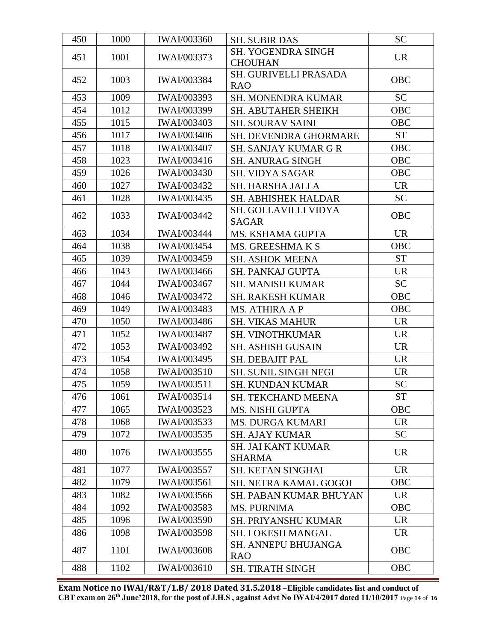| 450 | 1000 | <b>IWAI/003360</b> | <b>SH. SUBIR DAS</b>                     | <b>SC</b>  |
|-----|------|--------------------|------------------------------------------|------------|
|     |      | IWAI/003373        | <b>SH. YOGENDRA SINGH</b>                | <b>UR</b>  |
| 451 | 1001 |                    | <b>CHOUHAN</b>                           |            |
| 452 | 1003 | <b>IWAI/003384</b> | SH. GURIVELLI PRASADA                    | <b>OBC</b> |
|     |      |                    | <b>RAO</b>                               |            |
| 453 | 1009 | IWAI/003393        | SH. MONENDRA KUMAR                       | <b>SC</b>  |
| 454 | 1012 | IWAI/003399        | SH. ABUTAHER SHEIKH                      | OBC        |
| 455 | 1015 | <b>IWAI/003403</b> | <b>SH. SOURAV SAINI</b>                  | <b>OBC</b> |
| 456 | 1017 | <b>IWAI/003406</b> | SH. DEVENDRA GHORMARE                    | <b>ST</b>  |
| 457 | 1018 | <b>IWAI/003407</b> | <b>SH. SANJAY KUMAR G R</b>              | <b>OBC</b> |
| 458 | 1023 | IWAI/003416        | <b>SH. ANURAG SINGH</b>                  | <b>OBC</b> |
| 459 | 1026 | IWAI/003430        | <b>SH. VIDYA SAGAR</b>                   | OBC        |
| 460 | 1027 | IWAI/003432        | SH. HARSHA JALLA                         | <b>UR</b>  |
| 461 | 1028 | IWAI/003435        | SH. ABHISHEK HALDAR                      | <b>SC</b>  |
| 462 | 1033 | <b>IWAI/003442</b> | SH. GOLLAVILLI VIDYA                     | <b>OBC</b> |
|     |      |                    | <b>SAGAR</b>                             |            |
| 463 | 1034 | <b>IWAI/003444</b> | MS. KSHAMA GUPTA                         | <b>UR</b>  |
| 464 | 1038 | <b>IWAI/003454</b> | MS. GREESHMAKS                           | <b>OBC</b> |
| 465 | 1039 | <b>IWAI/003459</b> | <b>SH. ASHOK MEENA</b>                   | <b>ST</b>  |
| 466 | 1043 | <b>IWAI/003466</b> | <b>SH. PANKAJ GUPTA</b>                  | <b>UR</b>  |
| 467 | 1044 | <b>IWAI/003467</b> | <b>SH. MANISH KUMAR</b>                  | <b>SC</b>  |
| 468 | 1046 | <b>IWAI/003472</b> | <b>SH. RAKESH KUMAR</b>                  | <b>OBC</b> |
| 469 | 1049 | <b>IWAI/003483</b> | <b>MS. ATHIRA A P</b>                    | OBC        |
| 470 | 1050 | IWAI/003486        | <b>SH. VIKAS MAHUR</b>                   | <b>UR</b>  |
| 471 | 1052 | <b>IWAI/003487</b> | <b>SH. VINOTHKUMAR</b>                   | <b>UR</b>  |
| 472 | 1053 | IWAI/003492        | <b>SH. ASHISH GUSAIN</b>                 | <b>UR</b>  |
| 473 | 1054 | IWAI/003495        | SH. DEBAJIT PAL                          | <b>UR</b>  |
| 474 | 1058 | <b>IWAI/003510</b> | <b>SH. SUNIL SINGH NEGI</b>              | <b>UR</b>  |
| 475 | 1059 | <b>IWAI/003511</b> | <b>SH. KUNDAN KUMAR</b>                  | <b>SC</b>  |
| 476 | 1061 | IWAI/003514        | <b>SH. TEKCHAND MEENA</b>                | <b>ST</b>  |
| 477 | 1065 | <b>IWAI/003523</b> | <b>MS. NISHI GUPTA</b>                   | <b>OBC</b> |
| 478 | 1068 | IWAI/003533        | <b>MS. DURGA KUMARI</b>                  | <b>UR</b>  |
| 479 | 1072 | IWAI/003535        | <b>SH. AJAY KUMAR</b>                    | <b>SC</b>  |
| 480 | 1076 | IWAI/003555        | <b>SH. JAI KANT KUMAR</b>                | <b>UR</b>  |
|     |      |                    | <b>SHARMA</b>                            |            |
| 481 | 1077 | <b>IWAI/003557</b> | <b>SH. KETAN SINGHAI</b>                 | <b>UR</b>  |
| 482 | 1079 | <b>IWAI/003561</b> | <b>SH. NETRA KAMAL GOGOI</b>             | <b>OBC</b> |
| 483 | 1082 | IWAI/003566        | <b>SH. PABAN KUMAR BHUYAN</b>            | <b>UR</b>  |
| 484 | 1092 | <b>IWAI/003583</b> | <b>MS. PURNIMA</b>                       | <b>OBC</b> |
| 485 | 1096 | <b>IWAI/003590</b> | SH. PRIYANSHU KUMAR                      | <b>UR</b>  |
| 486 | 1098 | <b>IWAI/003598</b> | <b>SH. LOKESH MANGAL</b>                 | <b>UR</b>  |
| 487 | 1101 | <b>IWAI/003608</b> | <b>SH. ANNEPU BHUJANGA</b><br><b>RAO</b> | <b>OBC</b> |
| 488 | 1102 | <b>IWAI/003610</b> | <b>SH. TIRATH SINGH</b>                  | <b>OBC</b> |

**Exam Notice no IWAI/R&T/1.B/ 2018 Dated 31.5.2018** –**Eligible candidates list and conduct of CBT exam on 26th June'2018, for the post of J.H.S , against Advt No IWAI/4/2017 dated 11/10/2017** Page **14** of **16**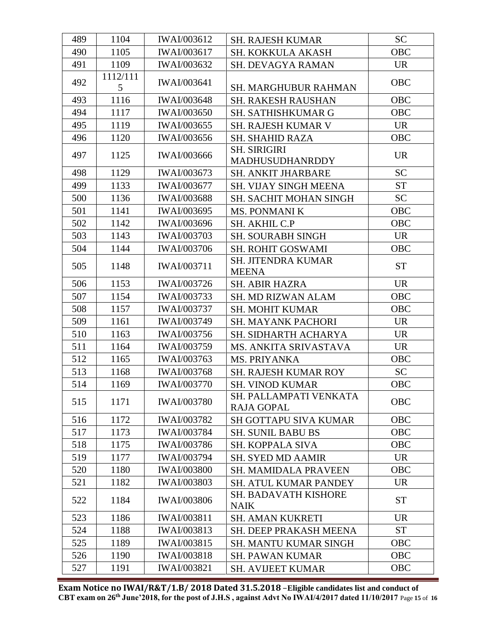| 489 | 1104          | <b>IWAI/003612</b> | <b>SH. RAJESH KUMAR</b>                     | <b>SC</b>  |
|-----|---------------|--------------------|---------------------------------------------|------------|
| 490 | 1105          | <b>IWAI/003617</b> | SH. KOKKULA AKASH                           | <b>OBC</b> |
| 491 | 1109          | <b>IWAI/003632</b> | SH. DEVAGYA RAMAN                           | <b>UR</b>  |
| 492 | 1112/111<br>5 | <b>IWAI/003641</b> | SH. MARGHUBUR RAHMAN                        | OBC        |
| 493 | 1116          | <b>IWAI/003648</b> | <b>SH. RAKESH RAUSHAN</b>                   | <b>OBC</b> |
| 494 | 1117          | <b>IWAI/003650</b> | SH. SATHISHKUMAR G                          | <b>OBC</b> |
| 495 | 1119          | IWAI/003655        | <b>SH. RAJESH KUMAR V</b>                   | <b>UR</b>  |
| 496 | 1120          | IWAI/003656        | <b>SH. SHAHID RAZA</b>                      | <b>OBC</b> |
| 497 | 1125          | IWAI/003666        | <b>SH. SIRIGIRI</b><br>MADHUSUDHANRDDY      | <b>UR</b>  |
| 498 | 1129          | IWAI/003673        | SH. ANKIT JHARBARE                          | <b>SC</b>  |
| 499 | 1133          | <b>IWAI/003677</b> | SH. VIJAY SINGH MEENA                       | <b>ST</b>  |
| 500 | 1136          | <b>IWAI/003688</b> | SH. SACHIT MOHAN SINGH                      | <b>SC</b>  |
| 501 | 1141          | <b>IWAI/003695</b> | <b>MS. PONMANI K</b>                        | OBC        |
| 502 | 1142          | <b>IWAI/003696</b> | SH. AKHIL C.P                               | OBC        |
| 503 | 1143          | <b>IWAI/003703</b> | <b>SH. SOURABH SINGH</b>                    | <b>UR</b>  |
| 504 | 1144          | <b>IWAI/003706</b> | <b>SH. ROHIT GOSWAMI</b>                    | <b>OBC</b> |
| 505 | 1148          | <b>IWAI/003711</b> | <b>SH. JITENDRA KUMAR</b><br><b>MEENA</b>   | <b>ST</b>  |
| 506 | 1153          | IWAI/003726        | <b>SH. ABIR HAZRA</b>                       | <b>UR</b>  |
| 507 | 1154          | <b>IWAI/003733</b> | <b>SH. MD RIZWAN ALAM</b>                   | OBC        |
| 508 | 1157          | IWAI/003737        | <b>SH. MOHIT KUMAR</b>                      | <b>OBC</b> |
| 509 | 1161          | IWAI/003749        | SH. MAYANK PACHORI                          | <b>UR</b>  |
| 510 | 1163          | IWAI/003756        | SH. SIDHARTH ACHARYA                        | <b>UR</b>  |
| 511 | 1164          | IWAI/003759        | MS. ANKITA SRIVASTAVA                       | <b>UR</b>  |
| 512 | 1165          | IWAI/003763        | MS. PRIYANKA                                | <b>OBC</b> |
| 513 | 1168          | <b>IWAI/003768</b> | <b>SH. RAJESH KUMAR ROY</b>                 | <b>SC</b>  |
| 514 | 1169          | <b>IWAI/003770</b> | <b>SH. VINOD KUMAR</b>                      | <b>OBC</b> |
| 515 | 1171          | <b>IWAI/003780</b> | SH. PALLAMPATI VENKATA<br><b>RAJA GOPAL</b> | <b>OBC</b> |
| 516 | 1172          | <b>IWAI/003782</b> | <b>SH GOTTAPU SIVA KUMAR</b>                | <b>OBC</b> |
| 517 | 1173          | <b>IWAI/003784</b> | <b>SH. SUNIL BABU BS</b>                    | <b>OBC</b> |
| 518 | 1175          | IWAI/003786        | SH. KOPPALA SIVA                            | <b>OBC</b> |
| 519 | 1177          | IWAI/003794        | <b>SH. SYED MD AAMIR</b>                    | <b>UR</b>  |
| 520 | 1180          | <b>IWAI/003800</b> | <b>SH. MAMIDALA PRAVEEN</b>                 | <b>OBC</b> |
| 521 | 1182          | <b>IWAI/003803</b> | <b>SH. ATUL KUMAR PANDEY</b>                | <b>UR</b>  |
| 522 | 1184          | <b>IWAI/003806</b> | SH. BADAVATH KISHORE<br><b>NAIK</b>         | <b>ST</b>  |
| 523 | 1186          | <b>IWAI/003811</b> | <b>SH. AMAN KUKRETI</b>                     | <b>UR</b>  |
| 524 | 1188          | IWAI/003813        | SH. DEEP PRAKASH MEENA                      | <b>ST</b>  |
| 525 | 1189          | <b>IWAI/003815</b> | <b>SH. MANTU KUMAR SINGH</b>                | OBC        |
| 526 | 1190          | <b>IWAI/003818</b> | <b>SH. PAWAN KUMAR</b>                      | <b>OBC</b> |
| 527 | 1191          | <b>IWAI/003821</b> | <b>SH. AVIJEET KUMAR</b>                    | <b>OBC</b> |

**Exam Notice no IWAI/R&T/1.B/ 2018 Dated 31.5.2018** –**Eligible candidates list and conduct of CBT exam on 26th June'2018, for the post of J.H.S , against Advt No IWAI/4/2017 dated 11/10/2017** Page **15** of **16**